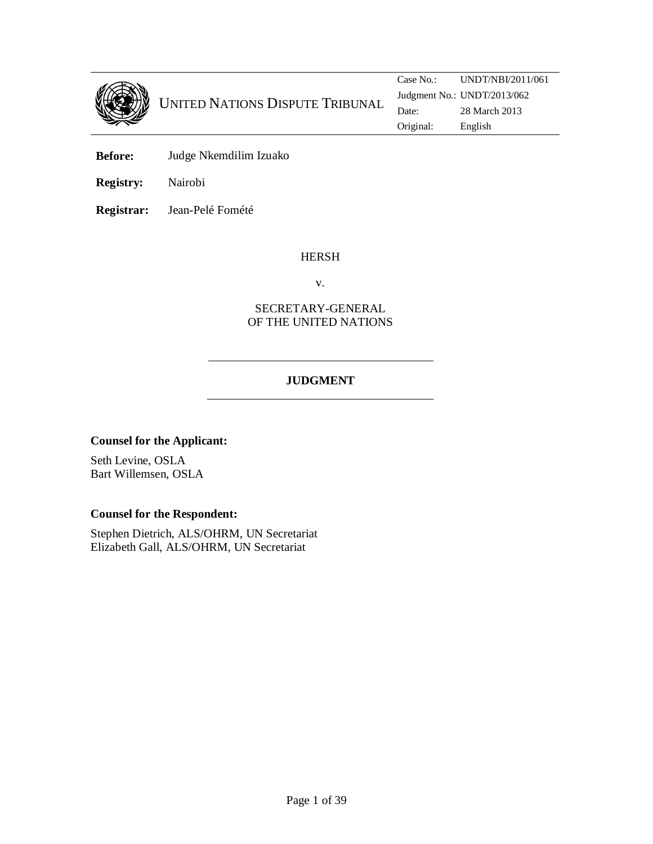

**Before:** Judge Nkemdilim Izuako

**Registry:** Nairobi

**Registrar:** Jean-Pelé Fomété

#### HERSH

v.

## SECRETARY-GENERAL OF THE UNITED NATIONS

## **JUDGMENT**

#### **Counsel for the Applicant:**

Seth Levine, OSLA Bart Willemsen, OSLA

#### **Counsel for the Respondent:**

Stephen Dietrich, ALS/OHRM, UN Secretariat Elizabeth Gall, ALS/OHRM, UN Secretariat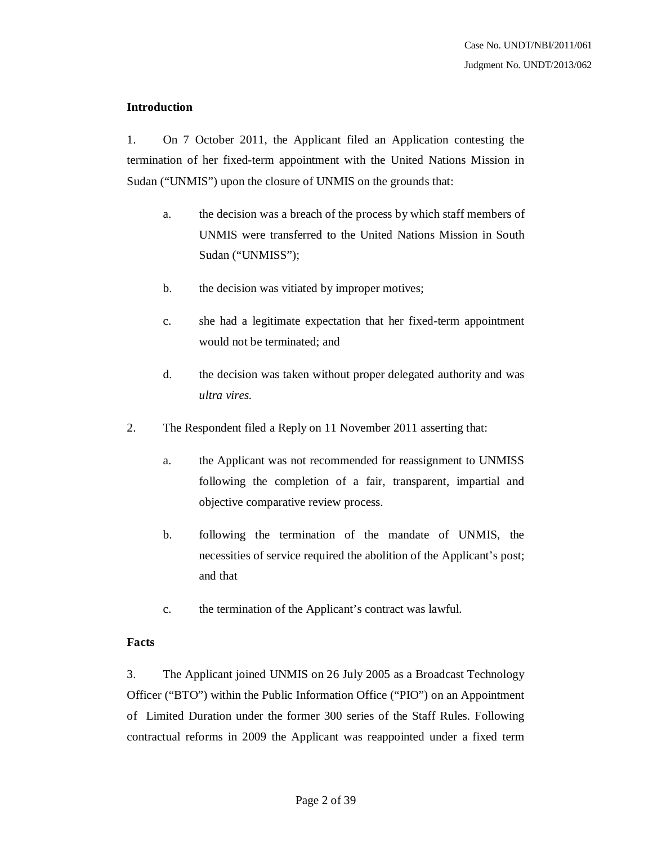## **Introduction**

1. On 7 October 2011, the Applicant filed an Application contesting the termination of her fixed-term appointment with the United Nations Mission in Sudan ("UNMIS") upon the closure of UNMIS on the grounds that:

- a. the decision was a breach of the process by which staff members of UNMIS were transferred to the United Nations Mission in South Sudan ("UNMISS");
- b. the decision was vitiated by improper motives;
- c. she had a legitimate expectation that her fixed-term appointment would not be terminated; and
- d. the decision was taken without proper delegated authority and was *ultra vires.*
- 2. The Respondent filed a Reply on 11 November 2011 asserting that:
	- a. the Applicant was not recommended for reassignment to UNMISS following the completion of a fair, transparent, impartial and objective comparative review process.
	- b. following the termination of the mandate of UNMIS, the necessities of service required the abolition of the Applicant's post; and that
	- c. the termination of the Applicant's contract was lawful.

## **Facts**

3. The Applicant joined UNMIS on 26 July 2005 as a Broadcast Technology Officer ("BTO") within the Public Information Office ("PIO") on an Appointment of Limited Duration under the former 300 series of the Staff Rules. Following contractual reforms in 2009 the Applicant was reappointed under a fixed term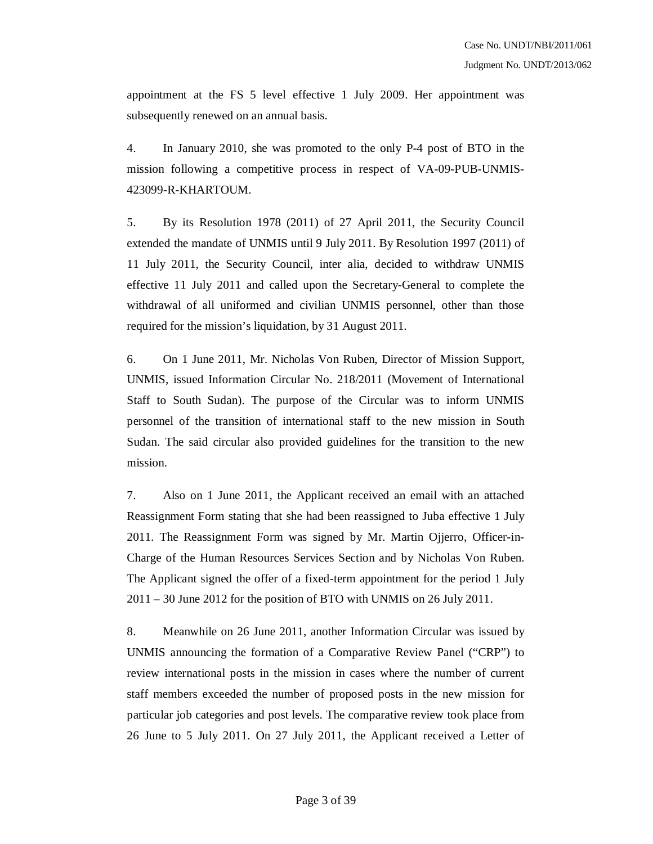appointment at the FS 5 level effective 1 July 2009. Her appointment was subsequently renewed on an annual basis.

4. In January 2010, she was promoted to the only P-4 post of BTO in the mission following a competitive process in respect of VA-09-PUB-UNMIS-423099-R-KHARTOUM.

5. By its Resolution 1978 (2011) of 27 April 2011, the Security Council extended the mandate of UNMIS until 9 July 2011. By Resolution 1997 (2011) of 11 July 2011, the Security Council, inter alia, decided to withdraw UNMIS effective 11 July 2011 and called upon the Secretary-General to complete the withdrawal of all uniformed and civilian UNMIS personnel, other than those required for the mission's liquidation, by 31 August 2011.

6. On 1 June 2011, Mr. Nicholas Von Ruben, Director of Mission Support, UNMIS, issued Information Circular No. 218/2011 (Movement of International Staff to South Sudan). The purpose of the Circular was to inform UNMIS personnel of the transition of international staff to the new mission in South Sudan. The said circular also provided guidelines for the transition to the new mission.

7. Also on 1 June 2011, the Applicant received an email with an attached Reassignment Form stating that she had been reassigned to Juba effective 1 July 2011. The Reassignment Form was signed by Mr. Martin Ojjerro, Officer-in-Charge of the Human Resources Services Section and by Nicholas Von Ruben. The Applicant signed the offer of a fixed-term appointment for the period 1 July 2011 – 30 June 2012 for the position of BTO with UNMIS on 26 July 2011.

8. Meanwhile on 26 June 2011, another Information Circular was issued by UNMIS announcing the formation of a Comparative Review Panel ("CRP") to review international posts in the mission in cases where the number of current staff members exceeded the number of proposed posts in the new mission for particular job categories and post levels. The comparative review took place from 26 June to 5 July 2011. On 27 July 2011, the Applicant received a Letter of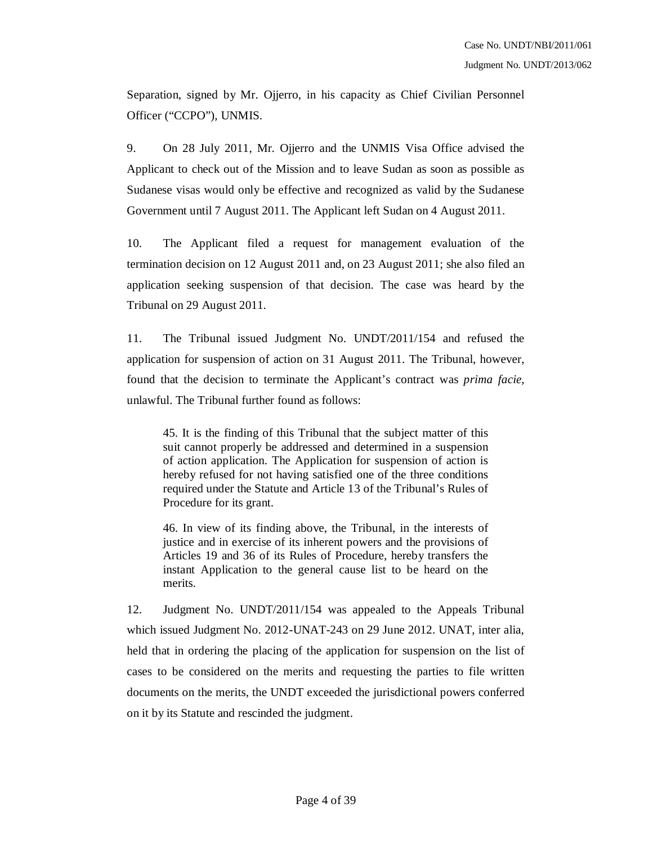Separation, signed by Mr. Ojjerro, in his capacity as Chief Civilian Personnel Officer ("CCPO"), UNMIS.

9. On 28 July 2011, Mr. Ojjerro and the UNMIS Visa Office advised the Applicant to check out of the Mission and to leave Sudan as soon as possible as Sudanese visas would only be effective and recognized as valid by the Sudanese Government until 7 August 2011. The Applicant left Sudan on 4 August 2011.

10. The Applicant filed a request for management evaluation of the termination decision on 12 August 2011 and, on 23 August 2011; she also filed an application seeking suspension of that decision. The case was heard by the Tribunal on 29 August 2011.

11. The Tribunal issued Judgment No. UNDT/2011/154 and refused the application for suspension of action on 31 August 2011. The Tribunal, however, found that the decision to terminate the Applicant's contract was *prima facie*, unlawful. The Tribunal further found as follows:

45. It is the finding of this Tribunal that the subject matter of this suit cannot properly be addressed and determined in a suspension of action application. The Application for suspension of action is hereby refused for not having satisfied one of the three conditions required under the Statute and Article 13 of the Tribunal's Rules of Procedure for its grant.

46. In view of its finding above, the Tribunal, in the interests of justice and in exercise of its inherent powers and the provisions of Articles 19 and 36 of its Rules of Procedure, hereby transfers the instant Application to the general cause list to be heard on the merits.

12. Judgment No. UNDT/2011/154 was appealed to the Appeals Tribunal which issued Judgment No. 2012-UNAT-243 on 29 June 2012. UNAT, inter alia, held that in ordering the placing of the application for suspension on the list of cases to be considered on the merits and requesting the parties to file written documents on the merits, the UNDT exceeded the jurisdictional powers conferred on it by its Statute and rescinded the judgment.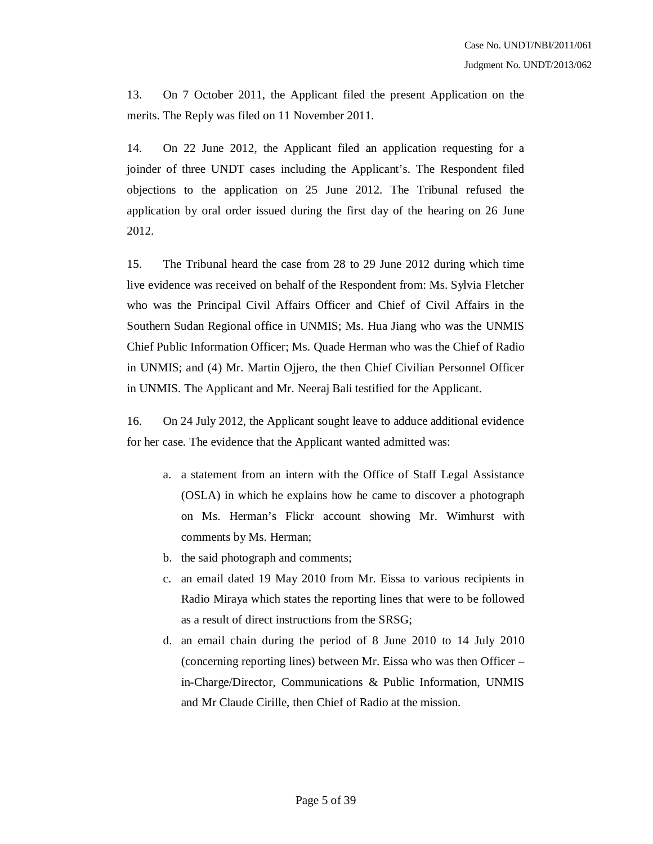13. On 7 October 2011, the Applicant filed the present Application on the merits. The Reply was filed on 11 November 2011.

14. On 22 June 2012, the Applicant filed an application requesting for a joinder of three UNDT cases including the Applicant's. The Respondent filed objections to the application on 25 June 2012. The Tribunal refused the application by oral order issued during the first day of the hearing on 26 June 2012.

15. The Tribunal heard the case from 28 to 29 June 2012 during which time live evidence was received on behalf of the Respondent from: Ms. Sylvia Fletcher who was the Principal Civil Affairs Officer and Chief of Civil Affairs in the Southern Sudan Regional office in UNMIS; Ms. Hua Jiang who was the UNMIS Chief Public Information Officer; Ms. Quade Herman who was the Chief of Radio in UNMIS; and (4) Mr. Martin Ojjero, the then Chief Civilian Personnel Officer in UNMIS. The Applicant and Mr. Neeraj Bali testified for the Applicant.

16. On 24 July 2012, the Applicant sought leave to adduce additional evidence for her case. The evidence that the Applicant wanted admitted was:

- a. a statement from an intern with the Office of Staff Legal Assistance (OSLA) in which he explains how he came to discover a photograph on Ms. Herman's Flickr account showing Mr. Wimhurst with comments by Ms. Herman;
- b. the said photograph and comments;
- c. an email dated 19 May 2010 from Mr. Eissa to various recipients in Radio Miraya which states the reporting lines that were to be followed as a result of direct instructions from the SRSG;
- d. an email chain during the period of 8 June 2010 to 14 July 2010 (concerning reporting lines) between Mr. Eissa who was then Officer – in-Charge/Director, Communications & Public Information, UNMIS and Mr Claude Cirille, then Chief of Radio at the mission.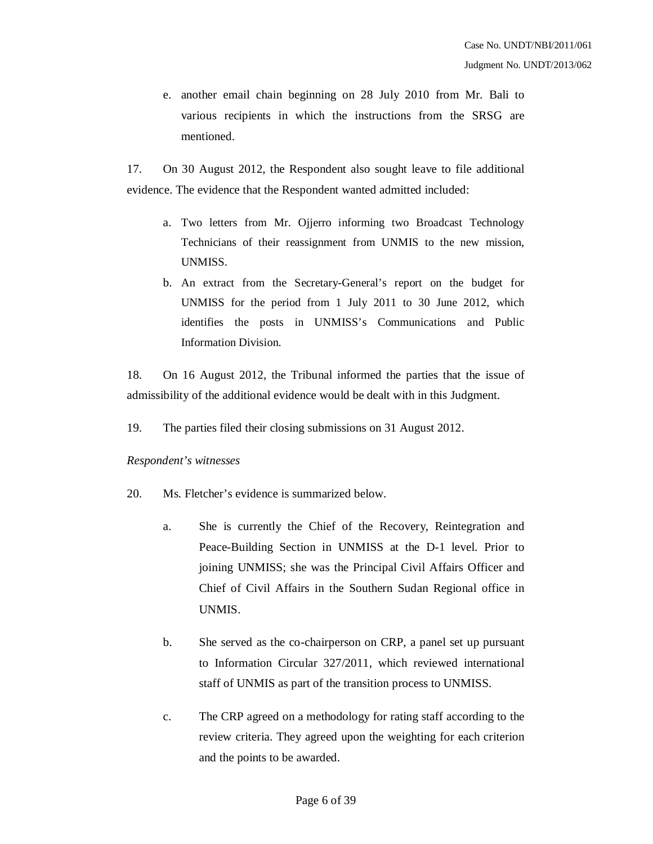e. another email chain beginning on 28 July 2010 from Mr. Bali to various recipients in which the instructions from the SRSG are mentioned.

17. On 30 August 2012, the Respondent also sought leave to file additional evidence. The evidence that the Respondent wanted admitted included:

- a. Two letters from Mr. Ojjerro informing two Broadcast Technology Technicians of their reassignment from UNMIS to the new mission, UNMISS.
- b. An extract from the Secretary-General's report on the budget for UNMISS for the period from 1 July 2011 to 30 June 2012, which identifies the posts in UNMISS's Communications and Public Information Division.

18. On 16 August 2012, the Tribunal informed the parties that the issue of admissibility of the additional evidence would be dealt with in this Judgment.

19. The parties filed their closing submissions on 31 August 2012.

## *Respondent's witnesses*

- 20. Ms. Fletcher's evidence is summarized below.
	- a. She is currently the Chief of the Recovery, Reintegration and Peace-Building Section in UNMISS at the D-1 level. Prior to joining UNMISS; she was the Principal Civil Affairs Officer and Chief of Civil Affairs in the Southern Sudan Regional office in UNMIS.
	- b. She served as the co-chairperson on CRP, a panel set up pursuant to Information Circular 327/2011, which reviewed international staff of UNMIS as part of the transition process to UNMISS.
	- c. The CRP agreed on a methodology for rating staff according to the review criteria. They agreed upon the weighting for each criterion and the points to be awarded.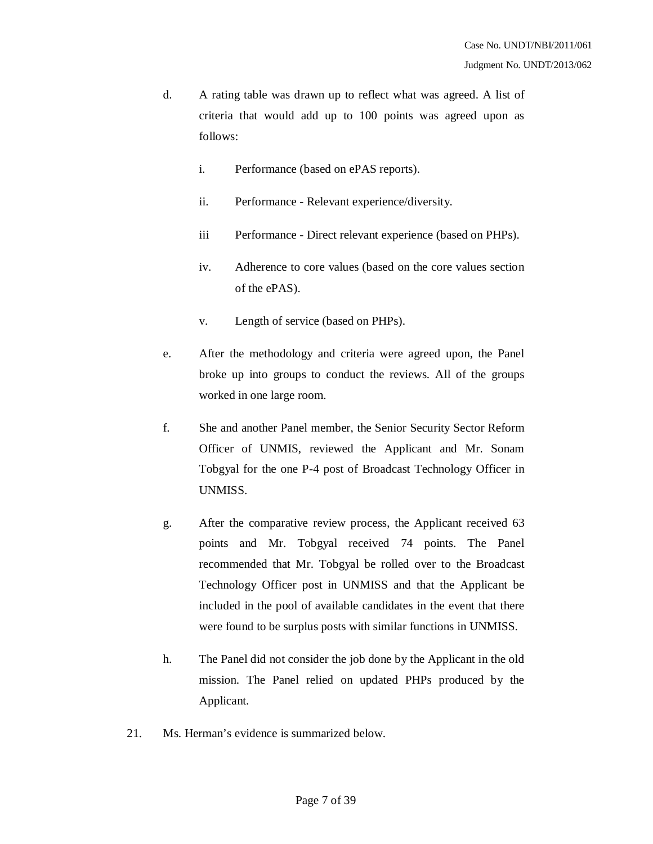- d. A rating table was drawn up to reflect what was agreed. A list of criteria that would add up to 100 points was agreed upon as follows:
	- i. Performance (based on ePAS reports).
	- ii. Performance Relevant experience/diversity.
	- iii Performance Direct relevant experience (based on PHPs).
	- iv. Adherence to core values (based on the core values section of the ePAS).
	- v. Length of service (based on PHPs).
- e. After the methodology and criteria were agreed upon, the Panel broke up into groups to conduct the reviews. All of the groups worked in one large room.
- f. She and another Panel member, the Senior Security Sector Reform Officer of UNMIS, reviewed the Applicant and Mr. Sonam Tobgyal for the one P-4 post of Broadcast Technology Officer in UNMISS.
- g. After the comparative review process, the Applicant received 63 points and Mr. Tobgyal received 74 points. The Panel recommended that Mr. Tobgyal be rolled over to the Broadcast Technology Officer post in UNMISS and that the Applicant be included in the pool of available candidates in the event that there were found to be surplus posts with similar functions in UNMISS.
- h. The Panel did not consider the job done by the Applicant in the old mission. The Panel relied on updated PHPs produced by the Applicant.
- 21. Ms. Herman's evidence is summarized below.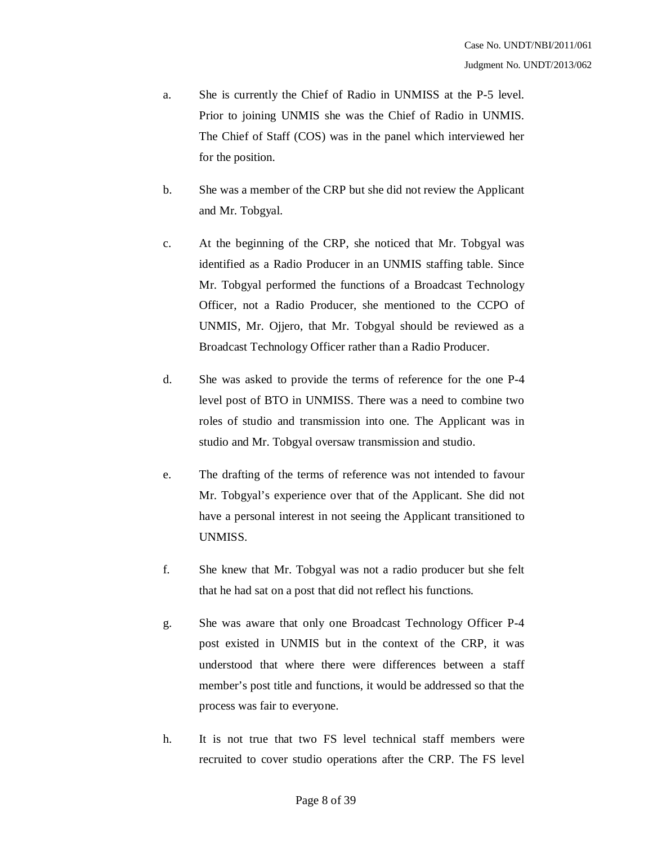- a. She is currently the Chief of Radio in UNMISS at the P-5 level. Prior to joining UNMIS she was the Chief of Radio in UNMIS. The Chief of Staff (COS) was in the panel which interviewed her for the position.
- b. She was a member of the CRP but she did not review the Applicant and Mr. Tobgyal.
- c. At the beginning of the CRP, she noticed that Mr. Tobgyal was identified as a Radio Producer in an UNMIS staffing table. Since Mr. Tobgyal performed the functions of a Broadcast Technology Officer, not a Radio Producer, she mentioned to the CCPO of UNMIS, Mr. Ojjero, that Mr. Tobgyal should be reviewed as a Broadcast Technology Officer rather than a Radio Producer.
- d. She was asked to provide the terms of reference for the one P-4 level post of BTO in UNMISS. There was a need to combine two roles of studio and transmission into one. The Applicant was in studio and Mr. Tobgyal oversaw transmission and studio.
- e. The drafting of the terms of reference was not intended to favour Mr. Tobgyal's experience over that of the Applicant. She did not have a personal interest in not seeing the Applicant transitioned to UNMISS.
- f. She knew that Mr. Tobgyal was not a radio producer but she felt that he had sat on a post that did not reflect his functions.
- g. She was aware that only one Broadcast Technology Officer P-4 post existed in UNMIS but in the context of the CRP, it was understood that where there were differences between a staff member's post title and functions, it would be addressed so that the process was fair to everyone.
- h. It is not true that two FS level technical staff members were recruited to cover studio operations after the CRP. The FS level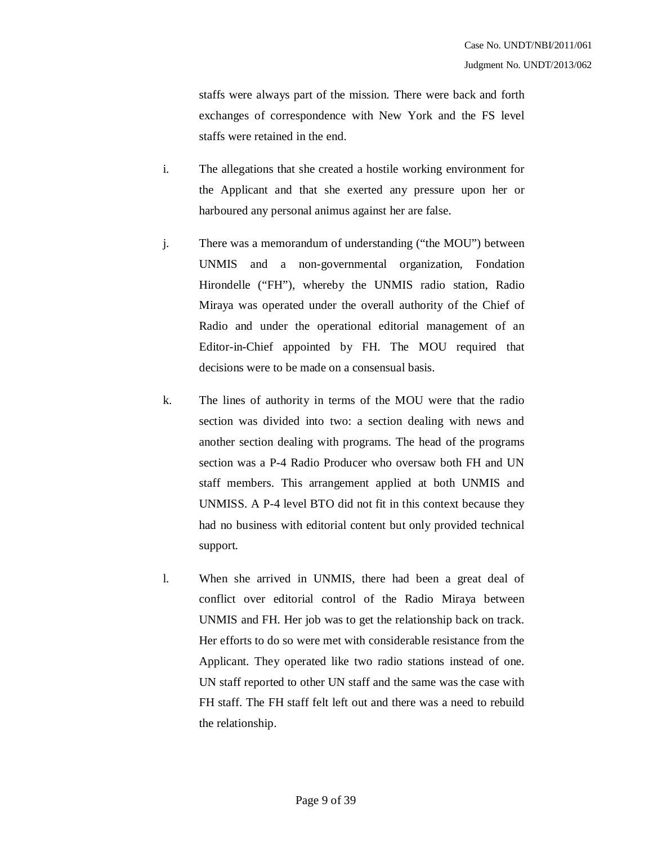staffs were always part of the mission. There were back and forth exchanges of correspondence with New York and the FS level staffs were retained in the end.

- i. The allegations that she created a hostile working environment for the Applicant and that she exerted any pressure upon her or harboured any personal animus against her are false.
- j. There was a memorandum of understanding ("the MOU") between UNMIS and a non-governmental organization, Fondation Hirondelle ("FH"), whereby the UNMIS radio station, Radio Miraya was operated under the overall authority of the Chief of Radio and under the operational editorial management of an Editor-in-Chief appointed by FH. The MOU required that decisions were to be made on a consensual basis.
- k. The lines of authority in terms of the MOU were that the radio section was divided into two: a section dealing with news and another section dealing with programs. The head of the programs section was a P-4 Radio Producer who oversaw both FH and UN staff members. This arrangement applied at both UNMIS and UNMISS. A P-4 level BTO did not fit in this context because they had no business with editorial content but only provided technical support.
- l. When she arrived in UNMIS, there had been a great deal of conflict over editorial control of the Radio Miraya between UNMIS and FH. Her job was to get the relationship back on track. Her efforts to do so were met with considerable resistance from the Applicant. They operated like two radio stations instead of one. UN staff reported to other UN staff and the same was the case with FH staff. The FH staff felt left out and there was a need to rebuild the relationship.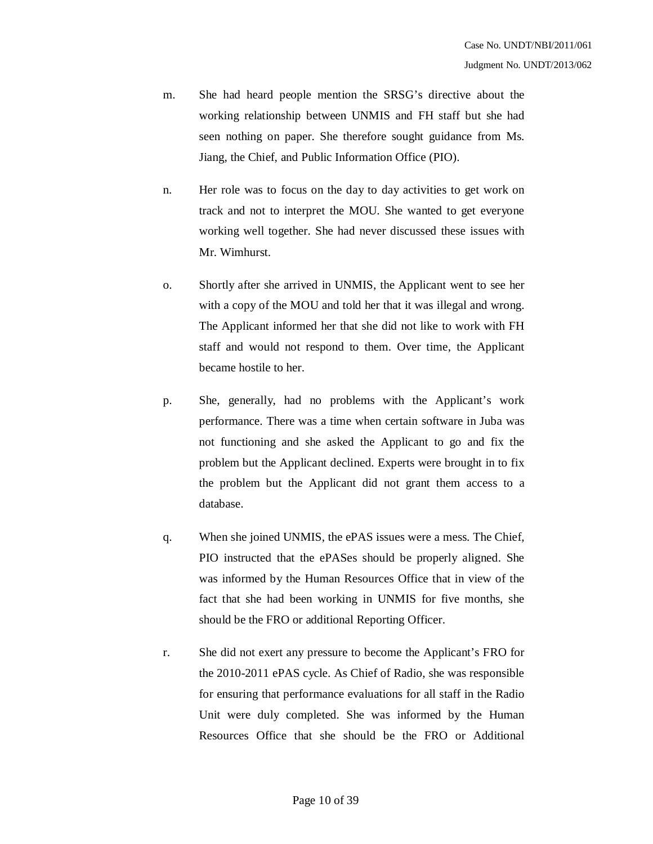- m. She had heard people mention the SRSG's directive about the working relationship between UNMIS and FH staff but she had seen nothing on paper. She therefore sought guidance from Ms. Jiang, the Chief, and Public Information Office (PIO).
- n. Her role was to focus on the day to day activities to get work on track and not to interpret the MOU. She wanted to get everyone working well together. She had never discussed these issues with Mr. Wimhurst.
- o. Shortly after she arrived in UNMIS, the Applicant went to see her with a copy of the MOU and told her that it was illegal and wrong. The Applicant informed her that she did not like to work with FH staff and would not respond to them. Over time, the Applicant became hostile to her.
- p. She, generally, had no problems with the Applicant's work performance. There was a time when certain software in Juba was not functioning and she asked the Applicant to go and fix the problem but the Applicant declined. Experts were brought in to fix the problem but the Applicant did not grant them access to a database.
- q. When she joined UNMIS, the ePAS issues were a mess. The Chief, PIO instructed that the ePASes should be properly aligned. She was informed by the Human Resources Office that in view of the fact that she had been working in UNMIS for five months, she should be the FRO or additional Reporting Officer.
- r. She did not exert any pressure to become the Applicant's FRO for the 2010-2011 ePAS cycle. As Chief of Radio, she was responsible for ensuring that performance evaluations for all staff in the Radio Unit were duly completed. She was informed by the Human Resources Office that she should be the FRO or Additional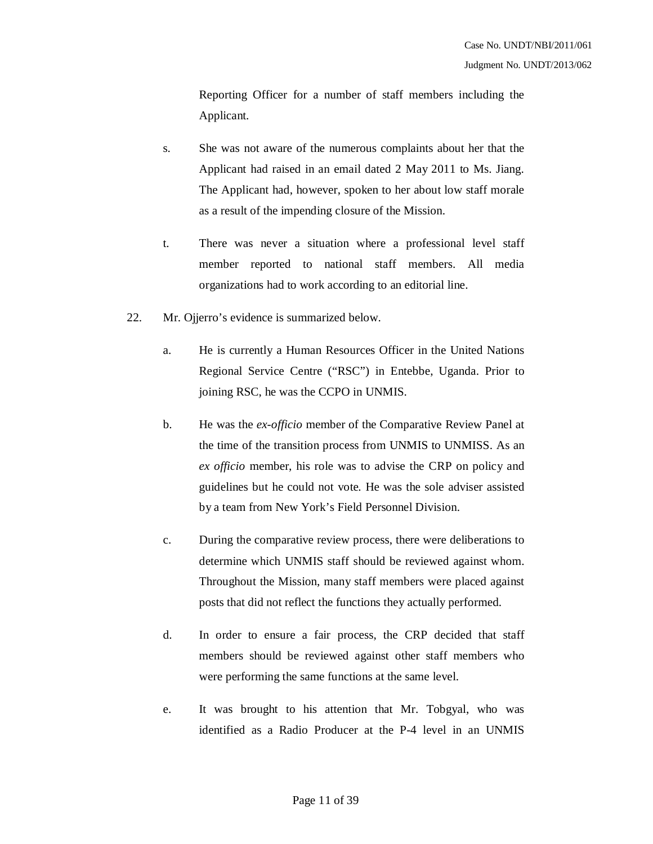Reporting Officer for a number of staff members including the Applicant.

- s. She was not aware of the numerous complaints about her that the Applicant had raised in an email dated 2 May 2011 to Ms. Jiang. The Applicant had, however, spoken to her about low staff morale as a result of the impending closure of the Mission.
- t. There was never a situation where a professional level staff member reported to national staff members. All media organizations had to work according to an editorial line.
- 22. Mr. Ojjerro's evidence is summarized below.
	- a. He is currently a Human Resources Officer in the United Nations Regional Service Centre ("RSC") in Entebbe, Uganda. Prior to joining RSC, he was the CCPO in UNMIS.
	- b. He was the *ex-officio* member of the Comparative Review Panel at the time of the transition process from UNMIS to UNMISS. As an *ex officio* member, his role was to advise the CRP on policy and guidelines but he could not vote. He was the sole adviser assisted by a team from New York's Field Personnel Division.
	- c. During the comparative review process, there were deliberations to determine which UNMIS staff should be reviewed against whom. Throughout the Mission, many staff members were placed against posts that did not reflect the functions they actually performed.
	- d. In order to ensure a fair process, the CRP decided that staff members should be reviewed against other staff members who were performing the same functions at the same level.
	- e. It was brought to his attention that Mr. Tobgyal, who was identified as a Radio Producer at the P-4 level in an UNMIS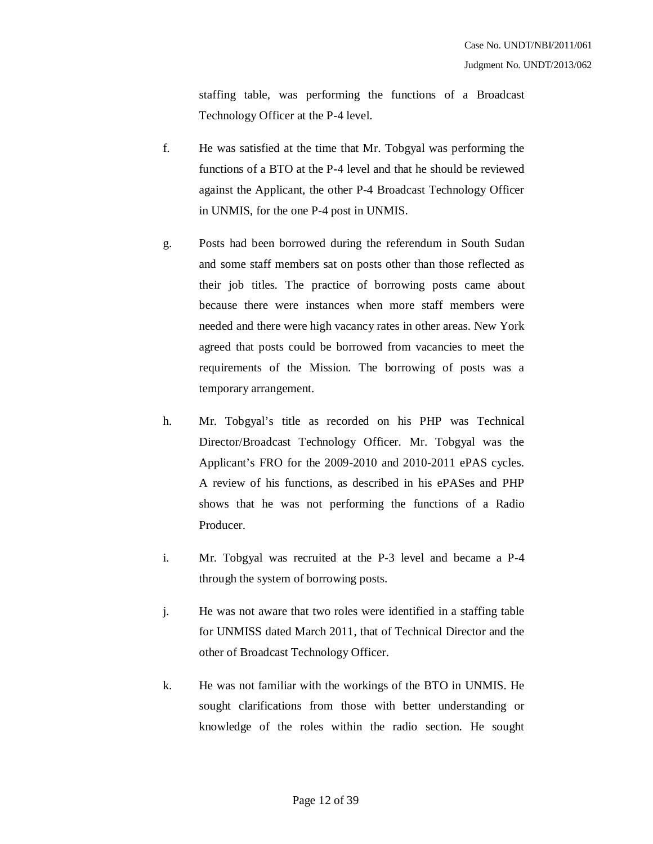staffing table, was performing the functions of a Broadcast Technology Officer at the P-4 level.

- f. He was satisfied at the time that Mr. Tobgyal was performing the functions of a BTO at the P-4 level and that he should be reviewed against the Applicant, the other P-4 Broadcast Technology Officer in UNMIS, for the one P-4 post in UNMIS.
- g. Posts had been borrowed during the referendum in South Sudan and some staff members sat on posts other than those reflected as their job titles. The practice of borrowing posts came about because there were instances when more staff members were needed and there were high vacancy rates in other areas. New York agreed that posts could be borrowed from vacancies to meet the requirements of the Mission. The borrowing of posts was a temporary arrangement.
- h. Mr. Tobgyal's title as recorded on his PHP was Technical Director/Broadcast Technology Officer. Mr. Tobgyal was the Applicant's FRO for the 2009-2010 and 2010-2011 ePAS cycles. A review of his functions, as described in his ePASes and PHP shows that he was not performing the functions of a Radio Producer.
- i. Mr. Tobgyal was recruited at the P-3 level and became a P-4 through the system of borrowing posts.
- j. He was not aware that two roles were identified in a staffing table for UNMISS dated March 2011, that of Technical Director and the other of Broadcast Technology Officer.
- k. He was not familiar with the workings of the BTO in UNMIS. He sought clarifications from those with better understanding or knowledge of the roles within the radio section. He sought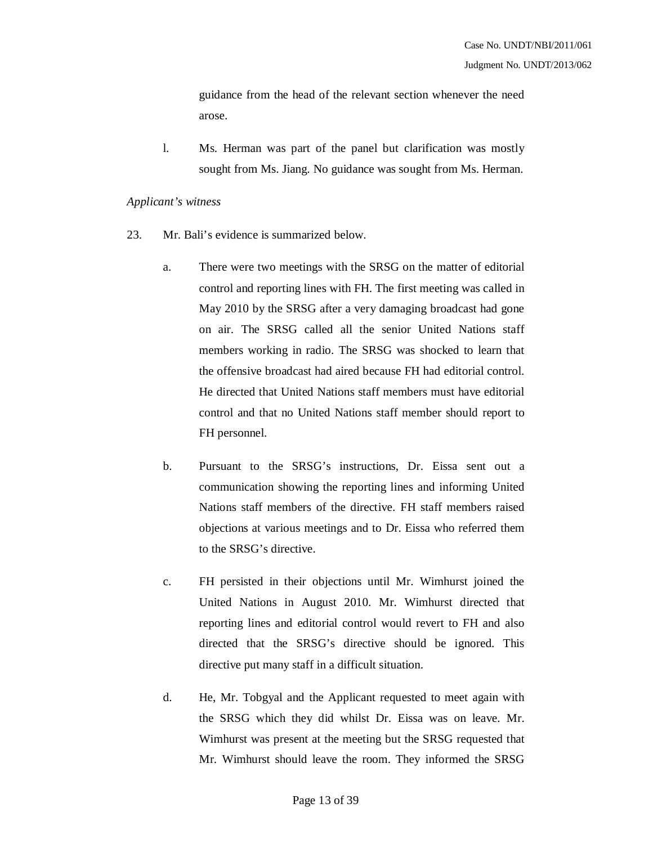guidance from the head of the relevant section whenever the need arose.

l. Ms. Herman was part of the panel but clarification was mostly sought from Ms. Jiang. No guidance was sought from Ms. Herman.

#### *Applicant's witness*

- 23. Mr. Bali's evidence is summarized below.
	- a. There were two meetings with the SRSG on the matter of editorial control and reporting lines with FH. The first meeting was called in May 2010 by the SRSG after a very damaging broadcast had gone on air. The SRSG called all the senior United Nations staff members working in radio. The SRSG was shocked to learn that the offensive broadcast had aired because FH had editorial control. He directed that United Nations staff members must have editorial control and that no United Nations staff member should report to FH personnel.
	- b. Pursuant to the SRSG's instructions, Dr. Eissa sent out a communication showing the reporting lines and informing United Nations staff members of the directive. FH staff members raised objections at various meetings and to Dr. Eissa who referred them to the SRSG's directive.
	- c. FH persisted in their objections until Mr. Wimhurst joined the United Nations in August 2010. Mr. Wimhurst directed that reporting lines and editorial control would revert to FH and also directed that the SRSG's directive should be ignored. This directive put many staff in a difficult situation.
	- d. He, Mr. Tobgyal and the Applicant requested to meet again with the SRSG which they did whilst Dr. Eissa was on leave. Mr. Wimhurst was present at the meeting but the SRSG requested that Mr. Wimhurst should leave the room. They informed the SRSG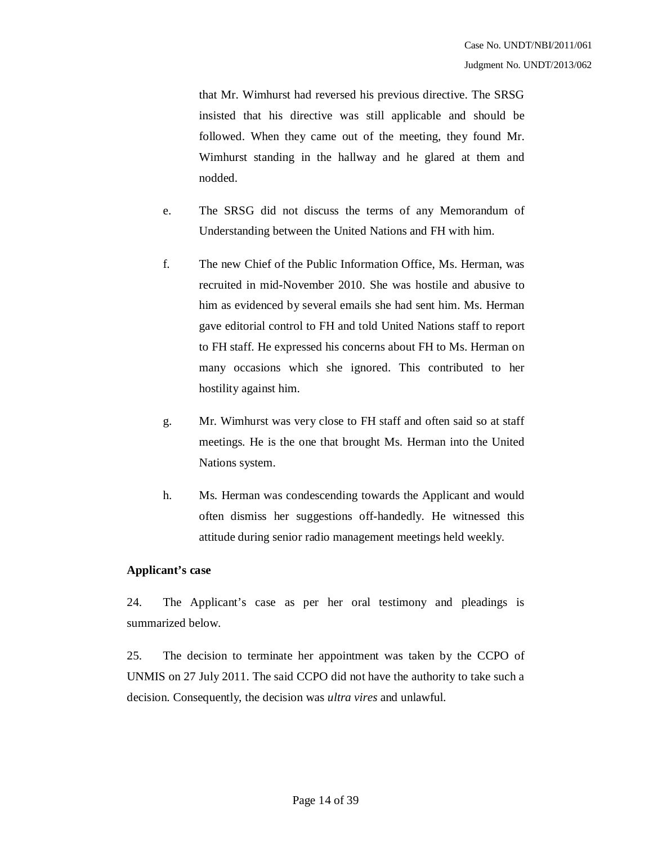that Mr. Wimhurst had reversed his previous directive. The SRSG insisted that his directive was still applicable and should be followed. When they came out of the meeting, they found Mr. Wimhurst standing in the hallway and he glared at them and nodded.

- e. The SRSG did not discuss the terms of any Memorandum of Understanding between the United Nations and FH with him.
- f. The new Chief of the Public Information Office, Ms. Herman, was recruited in mid-November 2010. She was hostile and abusive to him as evidenced by several emails she had sent him. Ms. Herman gave editorial control to FH and told United Nations staff to report to FH staff. He expressed his concerns about FH to Ms. Herman on many occasions which she ignored. This contributed to her hostility against him.
- g. Mr. Wimhurst was very close to FH staff and often said so at staff meetings. He is the one that brought Ms. Herman into the United Nations system.
- h. Ms. Herman was condescending towards the Applicant and would often dismiss her suggestions off-handedly. He witnessed this attitude during senior radio management meetings held weekly.

#### **Applicant's case**

24. The Applicant's case as per her oral testimony and pleadings is summarized below.

25. The decision to terminate her appointment was taken by the CCPO of UNMIS on 27 July 2011. The said CCPO did not have the authority to take such a decision. Consequently, the decision was *ultra vires* and unlawful.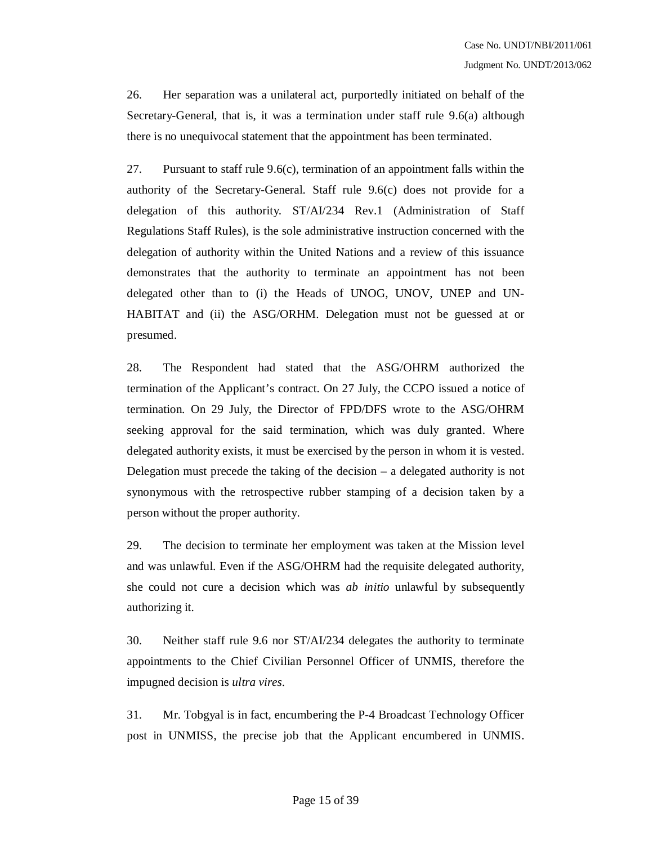26. Her separation was a unilateral act, purportedly initiated on behalf of the Secretary-General, that is, it was a termination under staff rule 9.6(a) although there is no unequivocal statement that the appointment has been terminated.

27. Pursuant to staff rule 9.6(c), termination of an appointment falls within the authority of the Secretary-General. Staff rule 9.6(c) does not provide for a delegation of this authority. ST/AI/234 Rev.1 (Administration of Staff Regulations Staff Rules), is the sole administrative instruction concerned with the delegation of authority within the United Nations and a review of this issuance demonstrates that the authority to terminate an appointment has not been delegated other than to (i) the Heads of UNOG, UNOV, UNEP and UN-HABITAT and (ii) the ASG/ORHM. Delegation must not be guessed at or presumed.

28. The Respondent had stated that the ASG/OHRM authorized the termination of the Applicant's contract. On 27 July, the CCPO issued a notice of termination. On 29 July, the Director of FPD/DFS wrote to the ASG/OHRM seeking approval for the said termination, which was duly granted. Where delegated authority exists, it must be exercised by the person in whom it is vested. Delegation must precede the taking of the decision – a delegated authority is not synonymous with the retrospective rubber stamping of a decision taken by a person without the proper authority.

29. The decision to terminate her employment was taken at the Mission level and was unlawful. Even if the ASG/OHRM had the requisite delegated authority, she could not cure a decision which was *ab initio* unlawful by subsequently authorizing it.

30. Neither staff rule 9.6 nor ST/AI/234 delegates the authority to terminate appointments to the Chief Civilian Personnel Officer of UNMIS, therefore the impugned decision is *ultra vires*.

31. Mr. Tobgyal is in fact, encumbering the P-4 Broadcast Technology Officer post in UNMISS, the precise job that the Applicant encumbered in UNMIS.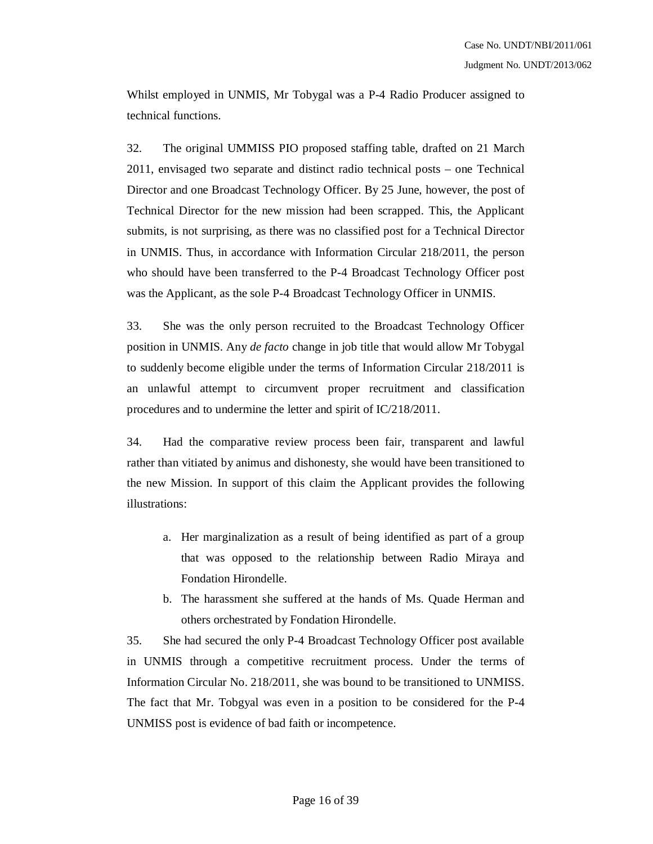Whilst employed in UNMIS, Mr Tobygal was a P-4 Radio Producer assigned to technical functions.

32. The original UMMISS PIO proposed staffing table, drafted on 21 March 2011, envisaged two separate and distinct radio technical posts – one Technical Director and one Broadcast Technology Officer. By 25 June, however, the post of Technical Director for the new mission had been scrapped. This, the Applicant submits, is not surprising, as there was no classified post for a Technical Director in UNMIS. Thus, in accordance with Information Circular 218/2011, the person who should have been transferred to the P-4 Broadcast Technology Officer post was the Applicant, as the sole P-4 Broadcast Technology Officer in UNMIS.

33. She was the only person recruited to the Broadcast Technology Officer position in UNMIS. Any *de facto* change in job title that would allow Mr Tobygal to suddenly become eligible under the terms of Information Circular 218/2011 is an unlawful attempt to circumvent proper recruitment and classification procedures and to undermine the letter and spirit of IC/218/2011.

34. Had the comparative review process been fair, transparent and lawful rather than vitiated by animus and dishonesty, she would have been transitioned to the new Mission. In support of this claim the Applicant provides the following illustrations:

- a. Her marginalization as a result of being identified as part of a group that was opposed to the relationship between Radio Miraya and Fondation Hirondelle.
- b. The harassment she suffered at the hands of Ms. Quade Herman and others orchestrated by Fondation Hirondelle.

35. She had secured the only P-4 Broadcast Technology Officer post available in UNMIS through a competitive recruitment process. Under the terms of Information Circular No. 218/2011, she was bound to be transitioned to UNMISS. The fact that Mr. Tobgyal was even in a position to be considered for the P-4 UNMISS post is evidence of bad faith or incompetence.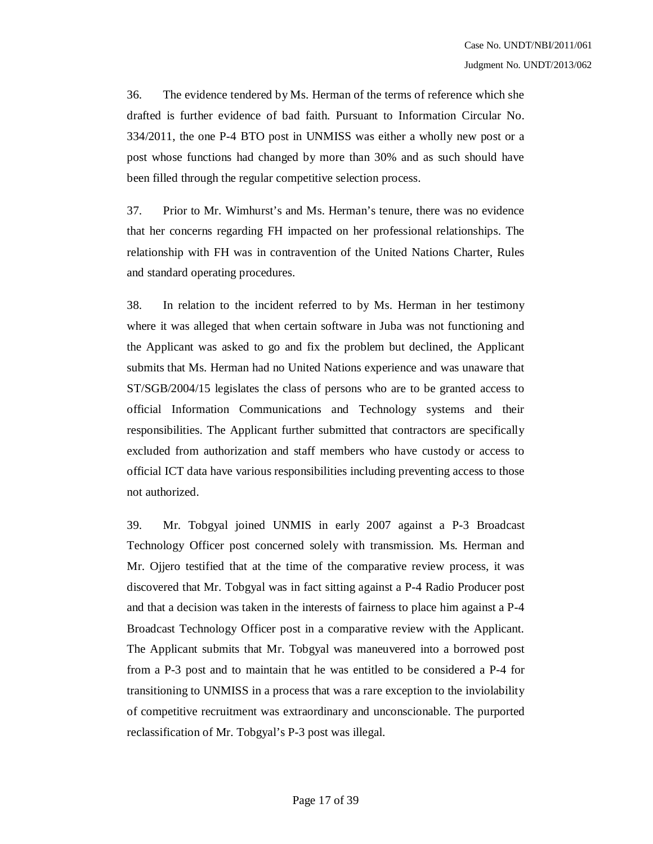36. The evidence tendered by Ms. Herman of the terms of reference which she drafted is further evidence of bad faith. Pursuant to Information Circular No. 334/2011, the one P-4 BTO post in UNMISS was either a wholly new post or a post whose functions had changed by more than 30% and as such should have been filled through the regular competitive selection process.

37. Prior to Mr. Wimhurst's and Ms. Herman's tenure, there was no evidence that her concerns regarding FH impacted on her professional relationships. The relationship with FH was in contravention of the United Nations Charter, Rules and standard operating procedures.

38. In relation to the incident referred to by Ms. Herman in her testimony where it was alleged that when certain software in Juba was not functioning and the Applicant was asked to go and fix the problem but declined, the Applicant submits that Ms. Herman had no United Nations experience and was unaware that ST/SGB/2004/15 legislates the class of persons who are to be granted access to official Information Communications and Technology systems and their responsibilities. The Applicant further submitted that contractors are specifically excluded from authorization and staff members who have custody or access to official ICT data have various responsibilities including preventing access to those not authorized.

39. Mr. Tobgyal joined UNMIS in early 2007 against a P-3 Broadcast Technology Officer post concerned solely with transmission. Ms. Herman and Mr. Ojjero testified that at the time of the comparative review process, it was discovered that Mr. Tobgyal was in fact sitting against a P-4 Radio Producer post and that a decision was taken in the interests of fairness to place him against a P-4 Broadcast Technology Officer post in a comparative review with the Applicant. The Applicant submits that Mr. Tobgyal was maneuvered into a borrowed post from a P-3 post and to maintain that he was entitled to be considered a P-4 for transitioning to UNMISS in a process that was a rare exception to the inviolability of competitive recruitment was extraordinary and unconscionable. The purported reclassification of Mr. Tobgyal's P-3 post was illegal.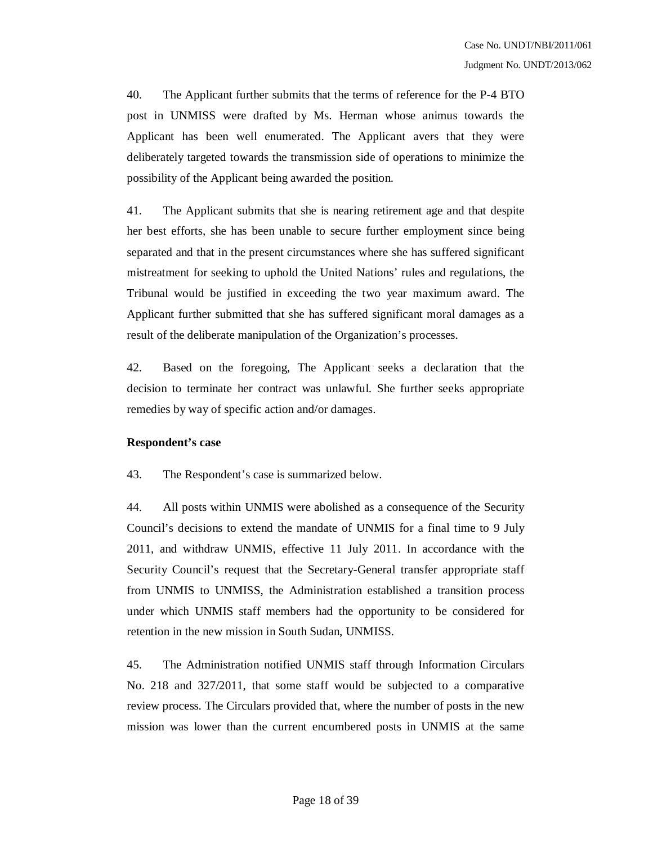40. The Applicant further submits that the terms of reference for the P-4 BTO post in UNMISS were drafted by Ms. Herman whose animus towards the Applicant has been well enumerated. The Applicant avers that they were deliberately targeted towards the transmission side of operations to minimize the possibility of the Applicant being awarded the position.

41. The Applicant submits that she is nearing retirement age and that despite her best efforts, she has been unable to secure further employment since being separated and that in the present circumstances where she has suffered significant mistreatment for seeking to uphold the United Nations' rules and regulations, the Tribunal would be justified in exceeding the two year maximum award. The Applicant further submitted that she has suffered significant moral damages as a result of the deliberate manipulation of the Organization's processes.

42. Based on the foregoing, The Applicant seeks a declaration that the decision to terminate her contract was unlawful. She further seeks appropriate remedies by way of specific action and/or damages.

#### **Respondent's case**

43. The Respondent's case is summarized below.

44. All posts within UNMIS were abolished as a consequence of the Security Council's decisions to extend the mandate of UNMIS for a final time to 9 July 2011, and withdraw UNMIS, effective 11 July 2011. In accordance with the Security Council's request that the Secretary-General transfer appropriate staff from UNMIS to UNMISS, the Administration established a transition process under which UNMIS staff members had the opportunity to be considered for retention in the new mission in South Sudan, UNMISS.

45. The Administration notified UNMIS staff through Information Circulars No. 218 and 327/2011, that some staff would be subjected to a comparative review process. The Circulars provided that, where the number of posts in the new mission was lower than the current encumbered posts in UNMIS at the same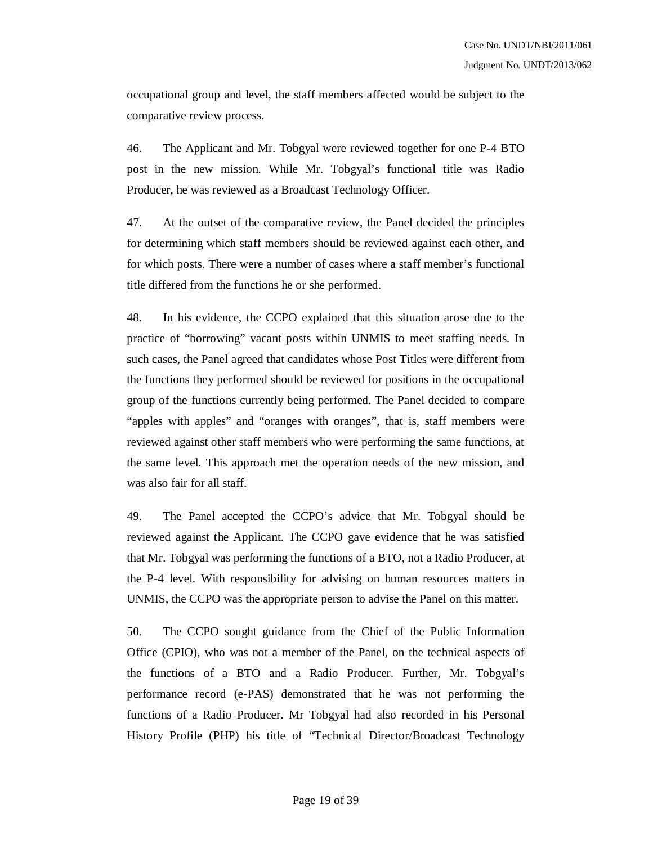occupational group and level, the staff members affected would be subject to the comparative review process.

46. The Applicant and Mr. Tobgyal were reviewed together for one P-4 BTO post in the new mission. While Mr. Tobgyal's functional title was Radio Producer, he was reviewed as a Broadcast Technology Officer.

47. At the outset of the comparative review, the Panel decided the principles for determining which staff members should be reviewed against each other, and for which posts. There were a number of cases where a staff member's functional title differed from the functions he or she performed.

48. In his evidence, the CCPO explained that this situation arose due to the practice of "borrowing" vacant posts within UNMIS to meet staffing needs. In such cases, the Panel agreed that candidates whose Post Titles were different from the functions they performed should be reviewed for positions in the occupational group of the functions currently being performed. The Panel decided to compare "apples with apples" and "oranges with oranges", that is, staff members were reviewed against other staff members who were performing the same functions, at the same level. This approach met the operation needs of the new mission, and was also fair for all staff.

49. The Panel accepted the CCPO's advice that Mr. Tobgyal should be reviewed against the Applicant. The CCPO gave evidence that he was satisfied that Mr. Tobgyal was performing the functions of a BTO, not a Radio Producer, at the P-4 level. With responsibility for advising on human resources matters in UNMIS, the CCPO was the appropriate person to advise the Panel on this matter.

50. The CCPO sought guidance from the Chief of the Public Information Office (CPIO), who was not a member of the Panel, on the technical aspects of the functions of a BTO and a Radio Producer. Further, Mr. Tobgyal's performance record (e-PAS) demonstrated that he was not performing the functions of a Radio Producer. Mr Tobgyal had also recorded in his Personal History Profile (PHP) his title of "Technical Director/Broadcast Technology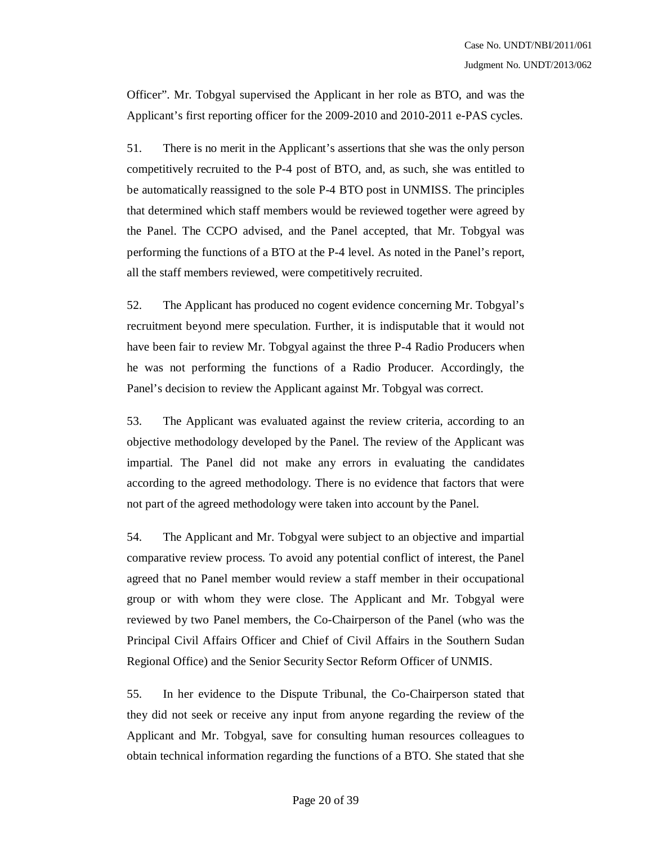Officer". Mr. Tobgyal supervised the Applicant in her role as BTO, and was the Applicant's first reporting officer for the 2009-2010 and 2010-2011 e-PAS cycles.

51. There is no merit in the Applicant's assertions that she was the only person competitively recruited to the P-4 post of BTO, and, as such, she was entitled to be automatically reassigned to the sole P-4 BTO post in UNMISS. The principles that determined which staff members would be reviewed together were agreed by the Panel. The CCPO advised, and the Panel accepted, that Mr. Tobgyal was performing the functions of a BTO at the P-4 level. As noted in the Panel's report, all the staff members reviewed, were competitively recruited.

52. The Applicant has produced no cogent evidence concerning Mr. Tobgyal's recruitment beyond mere speculation. Further, it is indisputable that it would not have been fair to review Mr. Tobgyal against the three P-4 Radio Producers when he was not performing the functions of a Radio Producer. Accordingly, the Panel's decision to review the Applicant against Mr. Tobgyal was correct.

53. The Applicant was evaluated against the review criteria, according to an objective methodology developed by the Panel. The review of the Applicant was impartial. The Panel did not make any errors in evaluating the candidates according to the agreed methodology. There is no evidence that factors that were not part of the agreed methodology were taken into account by the Panel.

54. The Applicant and Mr. Tobgyal were subject to an objective and impartial comparative review process. To avoid any potential conflict of interest, the Panel agreed that no Panel member would review a staff member in their occupational group or with whom they were close. The Applicant and Mr. Tobgyal were reviewed by two Panel members, the Co-Chairperson of the Panel (who was the Principal Civil Affairs Officer and Chief of Civil Affairs in the Southern Sudan Regional Office) and the Senior Security Sector Reform Officer of UNMIS.

55. In her evidence to the Dispute Tribunal, the Co-Chairperson stated that they did not seek or receive any input from anyone regarding the review of the Applicant and Mr. Tobgyal, save for consulting human resources colleagues to obtain technical information regarding the functions of a BTO. She stated that she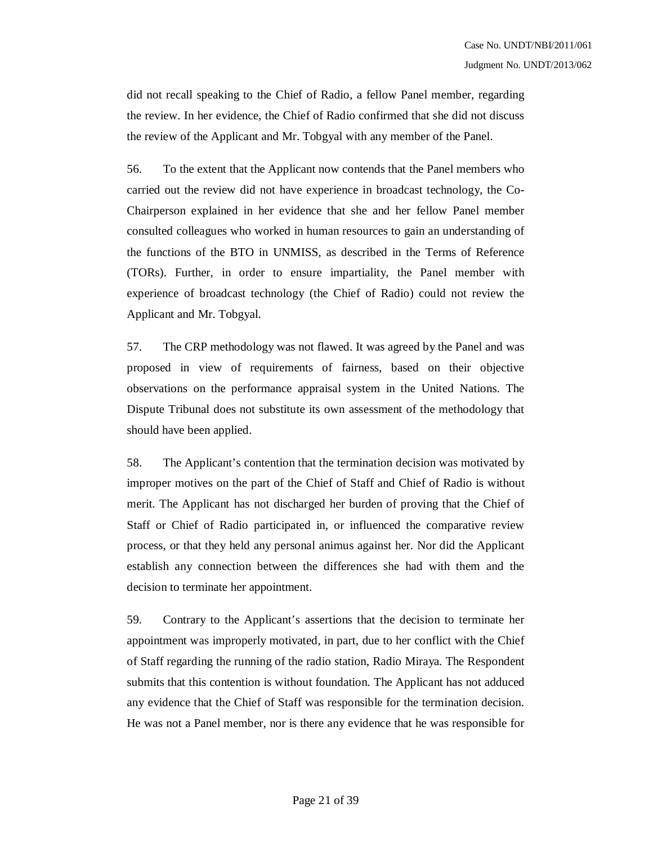did not recall speaking to the Chief of Radio, a fellow Panel member, regarding the review. In her evidence, the Chief of Radio confirmed that she did not discuss the review of the Applicant and Mr. Tobgyal with any member of the Panel.

56. To the extent that the Applicant now contends that the Panel members who carried out the review did not have experience in broadcast technology, the Co-Chairperson explained in her evidence that she and her fellow Panel member consulted colleagues who worked in human resources to gain an understanding of the functions of the BTO in UNMISS, as described in the Terms of Reference (TORs). Further, in order to ensure impartiality, the Panel member with experience of broadcast technology (the Chief of Radio) could not review the Applicant and Mr. Tobgyal.

57. The CRP methodology was not flawed. It was agreed by the Panel and was proposed in view of requirements of fairness, based on their objective observations on the performance appraisal system in the United Nations. The Dispute Tribunal does not substitute its own assessment of the methodology that should have been applied.

58. The Applicant's contention that the termination decision was motivated by improper motives on the part of the Chief of Staff and Chief of Radio is without merit. The Applicant has not discharged her burden of proving that the Chief of Staff or Chief of Radio participated in, or influenced the comparative review process, or that they held any personal animus against her. Nor did the Applicant establish any connection between the differences she had with them and the decision to terminate her appointment.

59. Contrary to the Applicant's assertions that the decision to terminate her appointment was improperly motivated, in part, due to her conflict with the Chief of Staff regarding the running of the radio station, Radio Miraya. The Respondent submits that this contention is without foundation. The Applicant has not adduced any evidence that the Chief of Staff was responsible for the termination decision. He was not a Panel member, nor is there any evidence that he was responsible for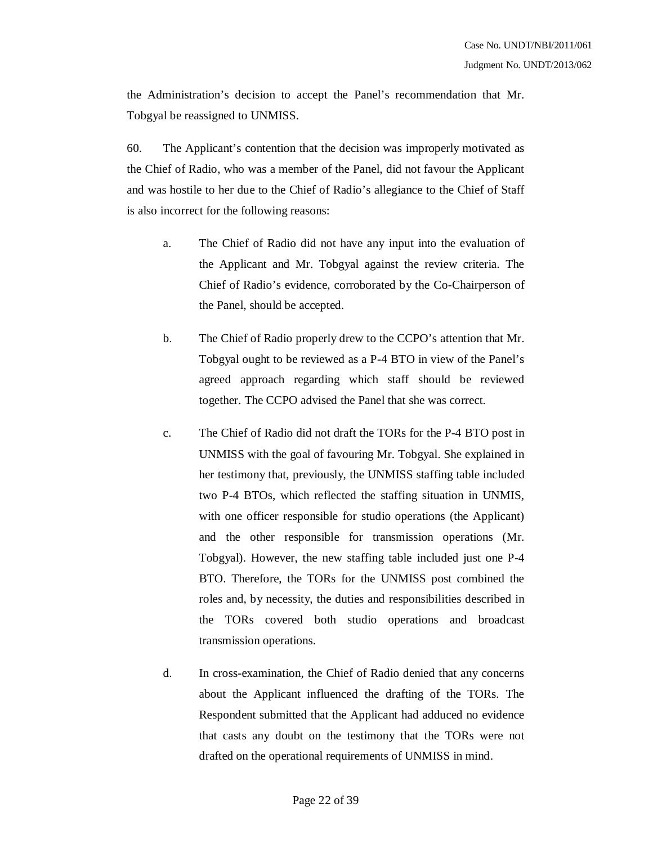the Administration's decision to accept the Panel's recommendation that Mr. Tobgyal be reassigned to UNMISS.

60. The Applicant's contention that the decision was improperly motivated as the Chief of Radio, who was a member of the Panel, did not favour the Applicant and was hostile to her due to the Chief of Radio's allegiance to the Chief of Staff is also incorrect for the following reasons:

- a. The Chief of Radio did not have any input into the evaluation of the Applicant and Mr. Tobgyal against the review criteria. The Chief of Radio's evidence, corroborated by the Co-Chairperson of the Panel, should be accepted.
- b. The Chief of Radio properly drew to the CCPO's attention that Mr. Tobgyal ought to be reviewed as a P-4 BTO in view of the Panel's agreed approach regarding which staff should be reviewed together. The CCPO advised the Panel that she was correct.
- c. The Chief of Radio did not draft the TORs for the P-4 BTO post in UNMISS with the goal of favouring Mr. Tobgyal. She explained in her testimony that, previously, the UNMISS staffing table included two P-4 BTOs, which reflected the staffing situation in UNMIS, with one officer responsible for studio operations (the Applicant) and the other responsible for transmission operations (Mr. Tobgyal). However, the new staffing table included just one P-4 BTO. Therefore, the TORs for the UNMISS post combined the roles and, by necessity, the duties and responsibilities described in the TORs covered both studio operations and broadcast transmission operations.
- d. In cross-examination, the Chief of Radio denied that any concerns about the Applicant influenced the drafting of the TORs. The Respondent submitted that the Applicant had adduced no evidence that casts any doubt on the testimony that the TORs were not drafted on the operational requirements of UNMISS in mind.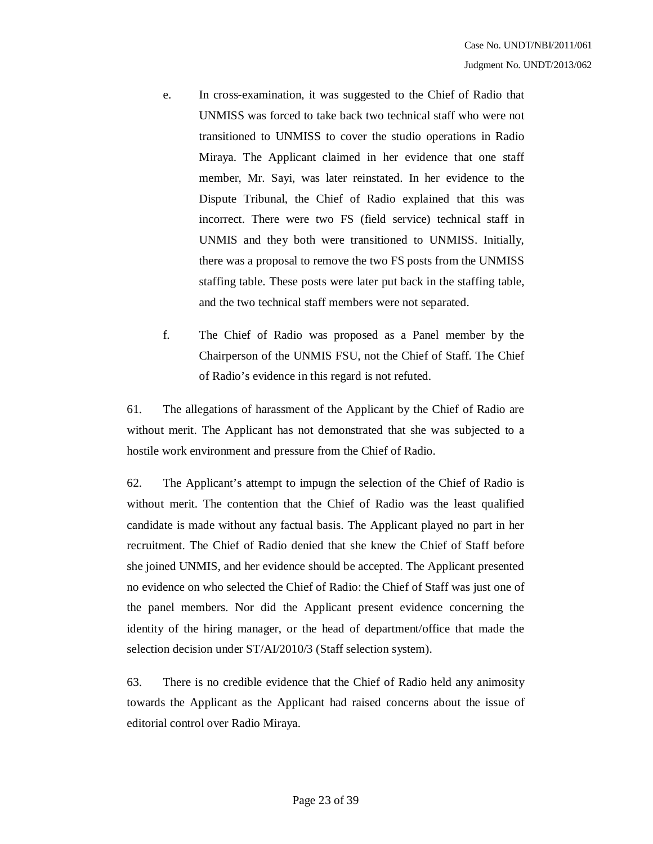- e. In cross-examination, it was suggested to the Chief of Radio that UNMISS was forced to take back two technical staff who were not transitioned to UNMISS to cover the studio operations in Radio Miraya. The Applicant claimed in her evidence that one staff member, Mr. Sayi, was later reinstated. In her evidence to the Dispute Tribunal, the Chief of Radio explained that this was incorrect. There were two FS (field service) technical staff in UNMIS and they both were transitioned to UNMISS. Initially, there was a proposal to remove the two FS posts from the UNMISS staffing table. These posts were later put back in the staffing table, and the two technical staff members were not separated.
- f. The Chief of Radio was proposed as a Panel member by the Chairperson of the UNMIS FSU, not the Chief of Staff. The Chief of Radio's evidence in this regard is not refuted.

61. The allegations of harassment of the Applicant by the Chief of Radio are without merit. The Applicant has not demonstrated that she was subjected to a hostile work environment and pressure from the Chief of Radio.

62. The Applicant's attempt to impugn the selection of the Chief of Radio is without merit. The contention that the Chief of Radio was the least qualified candidate is made without any factual basis. The Applicant played no part in her recruitment. The Chief of Radio denied that she knew the Chief of Staff before she joined UNMIS, and her evidence should be accepted. The Applicant presented no evidence on who selected the Chief of Radio: the Chief of Staff was just one of the panel members. Nor did the Applicant present evidence concerning the identity of the hiring manager, or the head of department/office that made the selection decision under ST/AI/2010/3 (Staff selection system).

63. There is no credible evidence that the Chief of Radio held any animosity towards the Applicant as the Applicant had raised concerns about the issue of editorial control over Radio Miraya.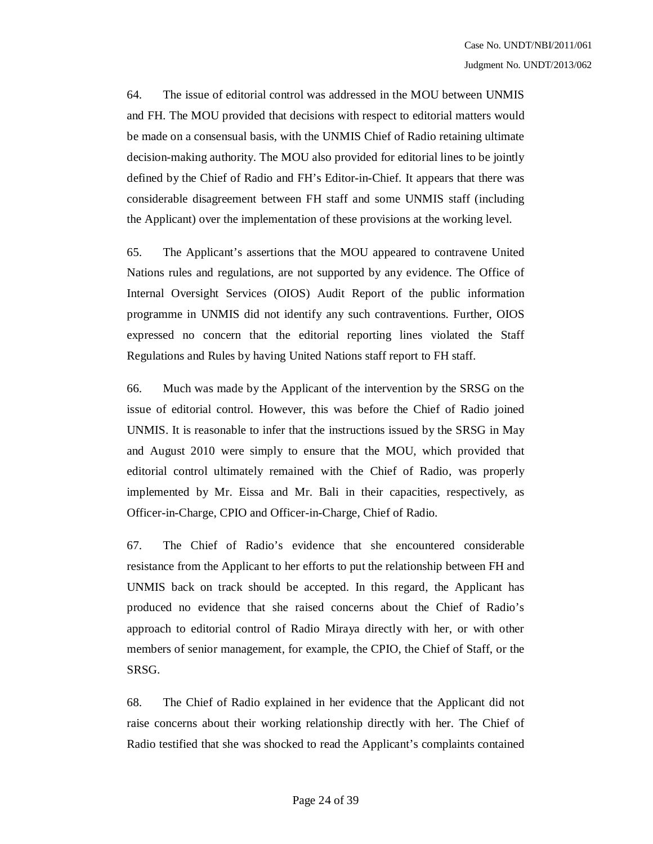64. The issue of editorial control was addressed in the MOU between UNMIS and FH. The MOU provided that decisions with respect to editorial matters would be made on a consensual basis, with the UNMIS Chief of Radio retaining ultimate decision-making authority. The MOU also provided for editorial lines to be jointly defined by the Chief of Radio and FH's Editor-in-Chief. It appears that there was considerable disagreement between FH staff and some UNMIS staff (including the Applicant) over the implementation of these provisions at the working level.

65. The Applicant's assertions that the MOU appeared to contravene United Nations rules and regulations, are not supported by any evidence. The Office of Internal Oversight Services (OIOS) Audit Report of the public information programme in UNMIS did not identify any such contraventions. Further, OIOS expressed no concern that the editorial reporting lines violated the Staff Regulations and Rules by having United Nations staff report to FH staff.

66. Much was made by the Applicant of the intervention by the SRSG on the issue of editorial control. However, this was before the Chief of Radio joined UNMIS. It is reasonable to infer that the instructions issued by the SRSG in May and August 2010 were simply to ensure that the MOU, which provided that editorial control ultimately remained with the Chief of Radio, was properly implemented by Mr. Eissa and Mr. Bali in their capacities, respectively, as Officer-in-Charge, CPIO and Officer-in-Charge, Chief of Radio.

67. The Chief of Radio's evidence that she encountered considerable resistance from the Applicant to her efforts to put the relationship between FH and UNMIS back on track should be accepted. In this regard, the Applicant has produced no evidence that she raised concerns about the Chief of Radio's approach to editorial control of Radio Miraya directly with her, or with other members of senior management, for example, the CPIO, the Chief of Staff, or the SRSG.

68. The Chief of Radio explained in her evidence that the Applicant did not raise concerns about their working relationship directly with her. The Chief of Radio testified that she was shocked to read the Applicant's complaints contained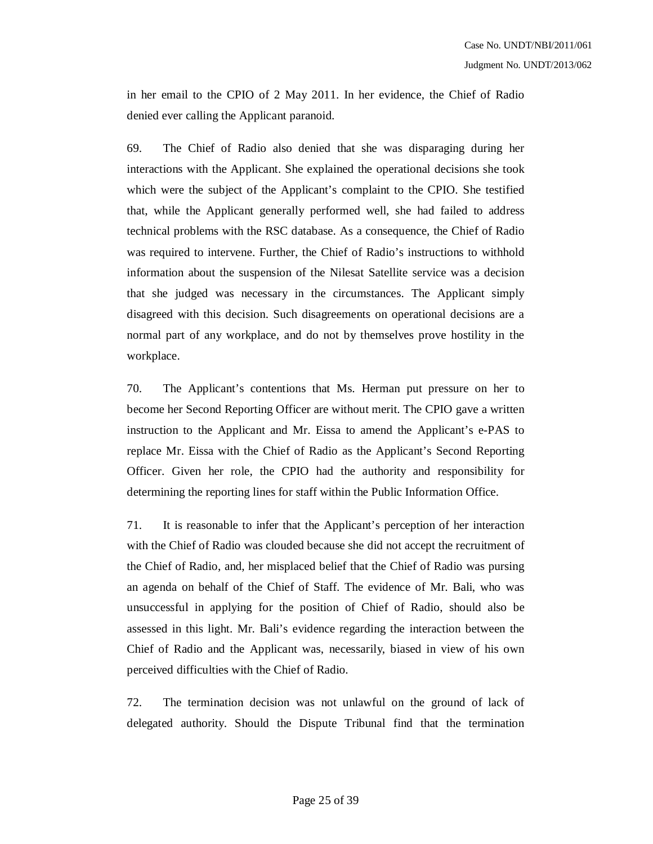in her email to the CPIO of 2 May 2011. In her evidence, the Chief of Radio denied ever calling the Applicant paranoid.

69. The Chief of Radio also denied that she was disparaging during her interactions with the Applicant. She explained the operational decisions she took which were the subject of the Applicant's complaint to the CPIO. She testified that, while the Applicant generally performed well, she had failed to address technical problems with the RSC database. As a consequence, the Chief of Radio was required to intervene. Further, the Chief of Radio's instructions to withhold information about the suspension of the Nilesat Satellite service was a decision that she judged was necessary in the circumstances. The Applicant simply disagreed with this decision. Such disagreements on operational decisions are a normal part of any workplace, and do not by themselves prove hostility in the workplace.

70. The Applicant's contentions that Ms. Herman put pressure on her to become her Second Reporting Officer are without merit. The CPIO gave a written instruction to the Applicant and Mr. Eissa to amend the Applicant's e-PAS to replace Mr. Eissa with the Chief of Radio as the Applicant's Second Reporting Officer. Given her role, the CPIO had the authority and responsibility for determining the reporting lines for staff within the Public Information Office.

71. It is reasonable to infer that the Applicant's perception of her interaction with the Chief of Radio was clouded because she did not accept the recruitment of the Chief of Radio, and, her misplaced belief that the Chief of Radio was pursing an agenda on behalf of the Chief of Staff. The evidence of Mr. Bali, who was unsuccessful in applying for the position of Chief of Radio, should also be assessed in this light. Mr. Bali's evidence regarding the interaction between the Chief of Radio and the Applicant was, necessarily, biased in view of his own perceived difficulties with the Chief of Radio.

72. The termination decision was not unlawful on the ground of lack of delegated authority. Should the Dispute Tribunal find that the termination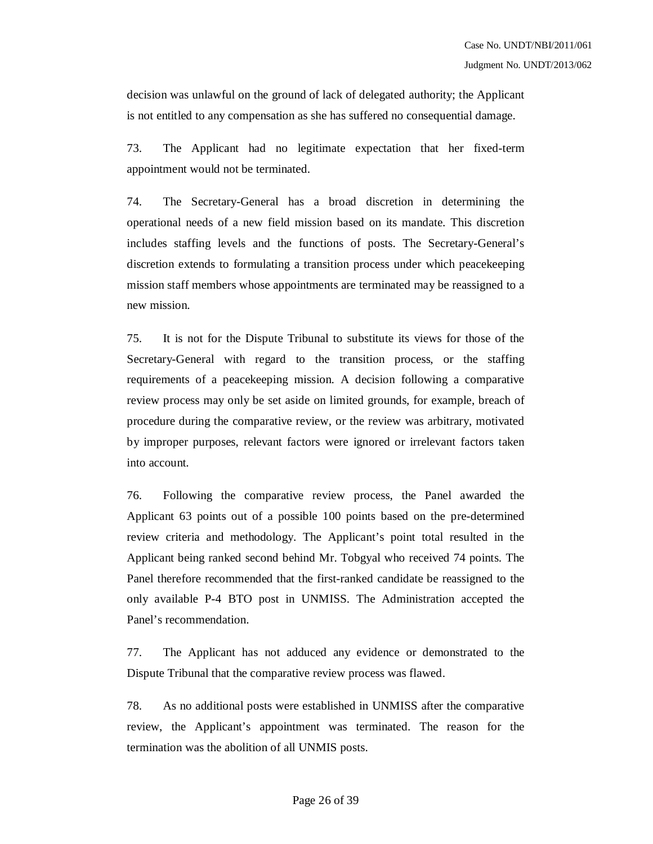decision was unlawful on the ground of lack of delegated authority; the Applicant is not entitled to any compensation as she has suffered no consequential damage.

73. The Applicant had no legitimate expectation that her fixed-term appointment would not be terminated.

74. The Secretary-General has a broad discretion in determining the operational needs of a new field mission based on its mandate. This discretion includes staffing levels and the functions of posts. The Secretary-General's discretion extends to formulating a transition process under which peacekeeping mission staff members whose appointments are terminated may be reassigned to a new mission.

75. It is not for the Dispute Tribunal to substitute its views for those of the Secretary-General with regard to the transition process, or the staffing requirements of a peacekeeping mission. A decision following a comparative review process may only be set aside on limited grounds, for example, breach of procedure during the comparative review, or the review was arbitrary, motivated by improper purposes, relevant factors were ignored or irrelevant factors taken into account.

76. Following the comparative review process, the Panel awarded the Applicant 63 points out of a possible 100 points based on the pre-determined review criteria and methodology. The Applicant's point total resulted in the Applicant being ranked second behind Mr. Tobgyal who received 74 points. The Panel therefore recommended that the first-ranked candidate be reassigned to the only available P-4 BTO post in UNMISS. The Administration accepted the Panel's recommendation.

77. The Applicant has not adduced any evidence or demonstrated to the Dispute Tribunal that the comparative review process was flawed.

78. As no additional posts were established in UNMISS after the comparative review, the Applicant's appointment was terminated. The reason for the termination was the abolition of all UNMIS posts.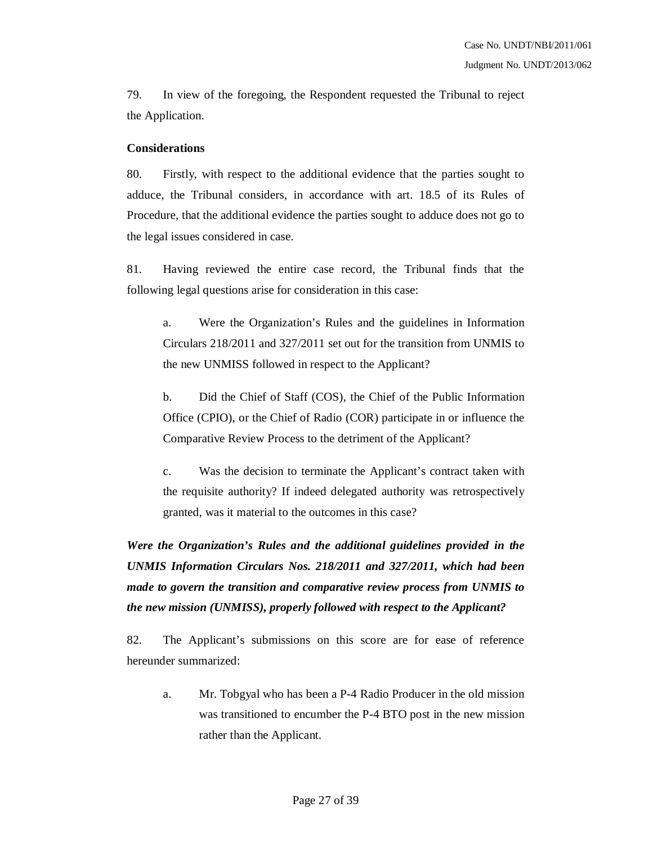79. In view of the foregoing, the Respondent requested the Tribunal to reject the Application.

#### **Considerations**

80. Firstly, with respect to the additional evidence that the parties sought to adduce, the Tribunal considers, in accordance with art. 18.5 of its Rules of Procedure, that the additional evidence the parties sought to adduce does not go to the legal issues considered in case.

81. Having reviewed the entire case record, the Tribunal finds that the following legal questions arise for consideration in this case:

a. Were the Organization's Rules and the guidelines in Information Circulars 218/2011 and 327/2011 set out for the transition from UNMIS to the new UNMISS followed in respect to the Applicant?

b. Did the Chief of Staff (COS), the Chief of the Public Information Office (CPIO), or the Chief of Radio (COR) participate in or influence the Comparative Review Process to the detriment of the Applicant?

c. Was the decision to terminate the Applicant's contract taken with the requisite authority? If indeed delegated authority was retrospectively granted, was it material to the outcomes in this case?

*Were the Organization's Rules and the additional guidelines provided in the UNMIS Information Circulars Nos. 218/2011 and 327/2011, which had been made to govern the transition and comparative review process from UNMIS to the new mission (UNMISS), properly followed with respect to the Applicant?*

82. The Applicant's submissions on this score are for ease of reference hereunder summarized:

a. Mr. Tobgyal who has been a P-4 Radio Producer in the old mission was transitioned to encumber the P-4 BTO post in the new mission rather than the Applicant.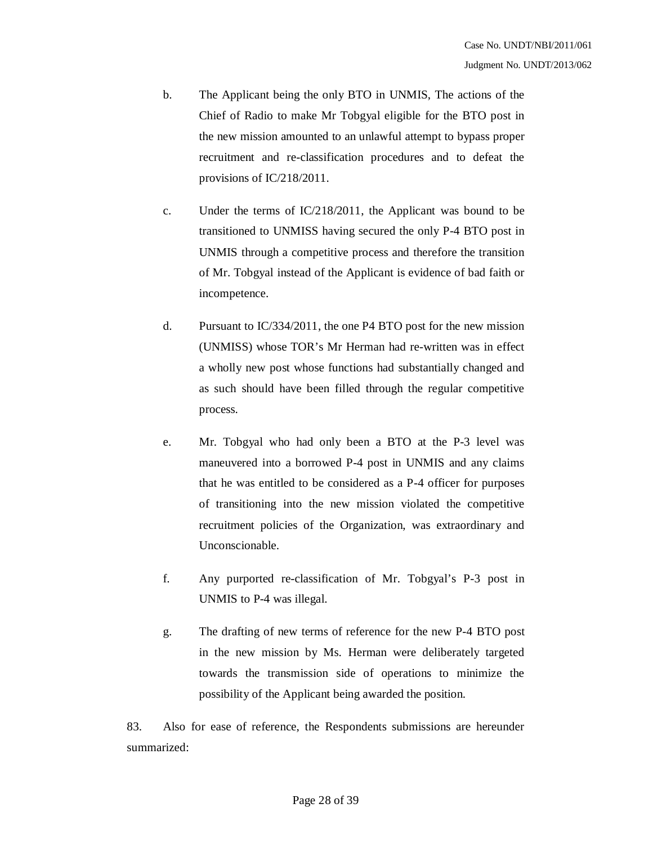- b. The Applicant being the only BTO in UNMIS, The actions of the Chief of Radio to make Mr Tobgyal eligible for the BTO post in the new mission amounted to an unlawful attempt to bypass proper recruitment and re-classification procedures and to defeat the provisions of IC/218/2011.
- c. Under the terms of IC/218/2011, the Applicant was bound to be transitioned to UNMISS having secured the only P-4 BTO post in UNMIS through a competitive process and therefore the transition of Mr. Tobgyal instead of the Applicant is evidence of bad faith or incompetence.
- d. Pursuant to IC/334/2011, the one P4 BTO post for the new mission (UNMISS) whose TOR's Mr Herman had re-written was in effect a wholly new post whose functions had substantially changed and as such should have been filled through the regular competitive process.
- e. Mr. Tobgyal who had only been a BTO at the P-3 level was maneuvered into a borrowed P-4 post in UNMIS and any claims that he was entitled to be considered as a P-4 officer for purposes of transitioning into the new mission violated the competitive recruitment policies of the Organization, was extraordinary and Unconscionable.
- f. Any purported re-classification of Mr. Tobgyal's P-3 post in UNMIS to P-4 was illegal.
- g. The drafting of new terms of reference for the new P-4 BTO post in the new mission by Ms. Herman were deliberately targeted towards the transmission side of operations to minimize the possibility of the Applicant being awarded the position.

83. Also for ease of reference, the Respondents submissions are hereunder summarized: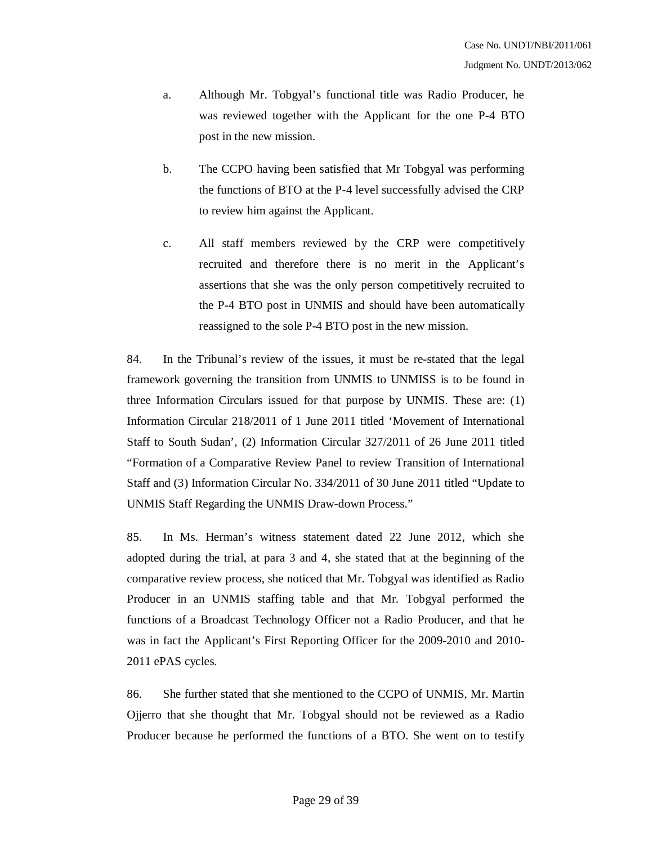- a. Although Mr. Tobgyal's functional title was Radio Producer, he was reviewed together with the Applicant for the one P-4 BTO post in the new mission.
- b. The CCPO having been satisfied that Mr Tobgyal was performing the functions of BTO at the P-4 level successfully advised the CRP to review him against the Applicant.
- c. All staff members reviewed by the CRP were competitively recruited and therefore there is no merit in the Applicant's assertions that she was the only person competitively recruited to the P-4 BTO post in UNMIS and should have been automatically reassigned to the sole P-4 BTO post in the new mission.

84. In the Tribunal's review of the issues, it must be re-stated that the legal framework governing the transition from UNMIS to UNMISS is to be found in three Information Circulars issued for that purpose by UNMIS. These are: (1) Information Circular 218/2011 of 1 June 2011 titled 'Movement of International Staff to South Sudan', (2) Information Circular 327/2011 of 26 June 2011 titled "Formation of a Comparative Review Panel to review Transition of International Staff and (3) Information Circular No. 334/2011 of 30 June 2011 titled "Update to UNMIS Staff Regarding the UNMIS Draw-down Process."

85. In Ms. Herman's witness statement dated 22 June 2012, which she adopted during the trial, at para 3 and 4, she stated that at the beginning of the comparative review process, she noticed that Mr. Tobgyal was identified as Radio Producer in an UNMIS staffing table and that Mr. Tobgyal performed the functions of a Broadcast Technology Officer not a Radio Producer, and that he was in fact the Applicant's First Reporting Officer for the 2009-2010 and 2010- 2011 ePAS cycles.

86. She further stated that she mentioned to the CCPO of UNMIS, Mr. Martin Ojjerro that she thought that Mr. Tobgyal should not be reviewed as a Radio Producer because he performed the functions of a BTO. She went on to testify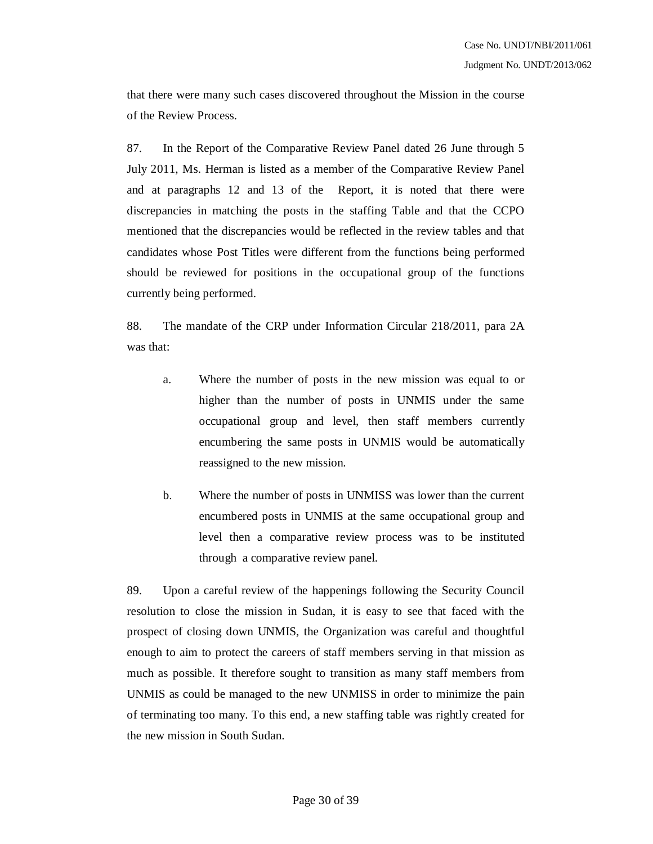that there were many such cases discovered throughout the Mission in the course of the Review Process.

87. In the Report of the Comparative Review Panel dated 26 June through 5 July 2011, Ms. Herman is listed as a member of the Comparative Review Panel and at paragraphs 12 and 13 of the Report, it is noted that there were discrepancies in matching the posts in the staffing Table and that the CCPO mentioned that the discrepancies would be reflected in the review tables and that candidates whose Post Titles were different from the functions being performed should be reviewed for positions in the occupational group of the functions currently being performed.

88. The mandate of the CRP under Information Circular 218/2011, para 2A was that:

- a. Where the number of posts in the new mission was equal to or higher than the number of posts in UNMIS under the same occupational group and level, then staff members currently encumbering the same posts in UNMIS would be automatically reassigned to the new mission.
- b. Where the number of posts in UNMISS was lower than the current encumbered posts in UNMIS at the same occupational group and level then a comparative review process was to be instituted through a comparative review panel.

89. Upon a careful review of the happenings following the Security Council resolution to close the mission in Sudan, it is easy to see that faced with the prospect of closing down UNMIS, the Organization was careful and thoughtful enough to aim to protect the careers of staff members serving in that mission as much as possible. It therefore sought to transition as many staff members from UNMIS as could be managed to the new UNMISS in order to minimize the pain of terminating too many. To this end, a new staffing table was rightly created for the new mission in South Sudan.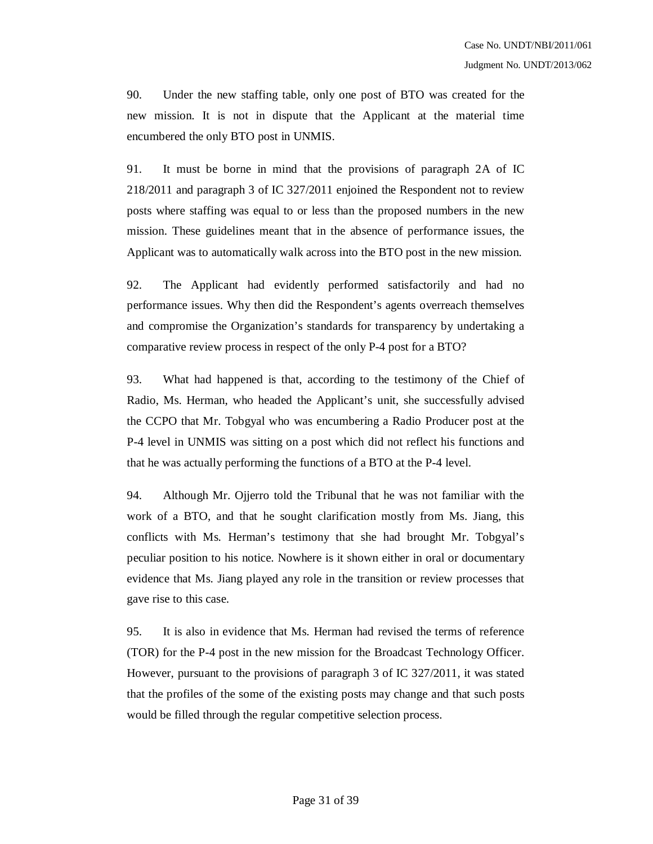90. Under the new staffing table, only one post of BTO was created for the new mission. It is not in dispute that the Applicant at the material time encumbered the only BTO post in UNMIS.

91. It must be borne in mind that the provisions of paragraph 2A of IC 218/2011 and paragraph 3 of IC 327/2011 enjoined the Respondent not to review posts where staffing was equal to or less than the proposed numbers in the new mission. These guidelines meant that in the absence of performance issues, the Applicant was to automatically walk across into the BTO post in the new mission.

92. The Applicant had evidently performed satisfactorily and had no performance issues. Why then did the Respondent's agents overreach themselves and compromise the Organization's standards for transparency by undertaking a comparative review process in respect of the only P-4 post for a BTO?

93. What had happened is that, according to the testimony of the Chief of Radio, Ms. Herman, who headed the Applicant's unit, she successfully advised the CCPO that Mr. Tobgyal who was encumbering a Radio Producer post at the P-4 level in UNMIS was sitting on a post which did not reflect his functions and that he was actually performing the functions of a BTO at the P-4 level.

94. Although Mr. Ojjerro told the Tribunal that he was not familiar with the work of a BTO, and that he sought clarification mostly from Ms. Jiang, this conflicts with Ms. Herman's testimony that she had brought Mr. Tobgyal's peculiar position to his notice. Nowhere is it shown either in oral or documentary evidence that Ms. Jiang played any role in the transition or review processes that gave rise to this case.

95. It is also in evidence that Ms. Herman had revised the terms of reference (TOR) for the P-4 post in the new mission for the Broadcast Technology Officer. However, pursuant to the provisions of paragraph 3 of IC 327/2011, it was stated that the profiles of the some of the existing posts may change and that such posts would be filled through the regular competitive selection process.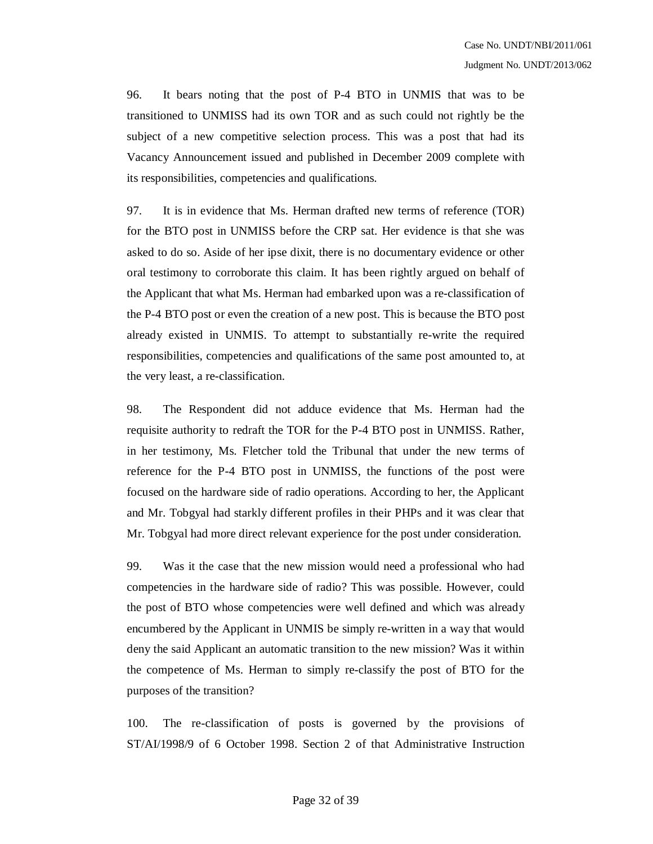96. It bears noting that the post of P-4 BTO in UNMIS that was to be transitioned to UNMISS had its own TOR and as such could not rightly be the subject of a new competitive selection process. This was a post that had its Vacancy Announcement issued and published in December 2009 complete with its responsibilities, competencies and qualifications.

97. It is in evidence that Ms. Herman drafted new terms of reference (TOR) for the BTO post in UNMISS before the CRP sat. Her evidence is that she was asked to do so. Aside of her ipse dixit, there is no documentary evidence or other oral testimony to corroborate this claim. It has been rightly argued on behalf of the Applicant that what Ms. Herman had embarked upon was a re-classification of the P-4 BTO post or even the creation of a new post. This is because the BTO post already existed in UNMIS. To attempt to substantially re-write the required responsibilities, competencies and qualifications of the same post amounted to, at the very least, a re-classification.

98. The Respondent did not adduce evidence that Ms. Herman had the requisite authority to redraft the TOR for the P-4 BTO post in UNMISS. Rather, in her testimony, Ms. Fletcher told the Tribunal that under the new terms of reference for the P-4 BTO post in UNMISS, the functions of the post were focused on the hardware side of radio operations. According to her, the Applicant and Mr. Tobgyal had starkly different profiles in their PHPs and it was clear that Mr. Tobgyal had more direct relevant experience for the post under consideration.

99. Was it the case that the new mission would need a professional who had competencies in the hardware side of radio? This was possible. However, could the post of BTO whose competencies were well defined and which was already encumbered by the Applicant in UNMIS be simply re-written in a way that would deny the said Applicant an automatic transition to the new mission? Was it within the competence of Ms. Herman to simply re-classify the post of BTO for the purposes of the transition?

100. The re-classification of posts is governed by the provisions of ST/AI/1998/9 of 6 October 1998. Section 2 of that Administrative Instruction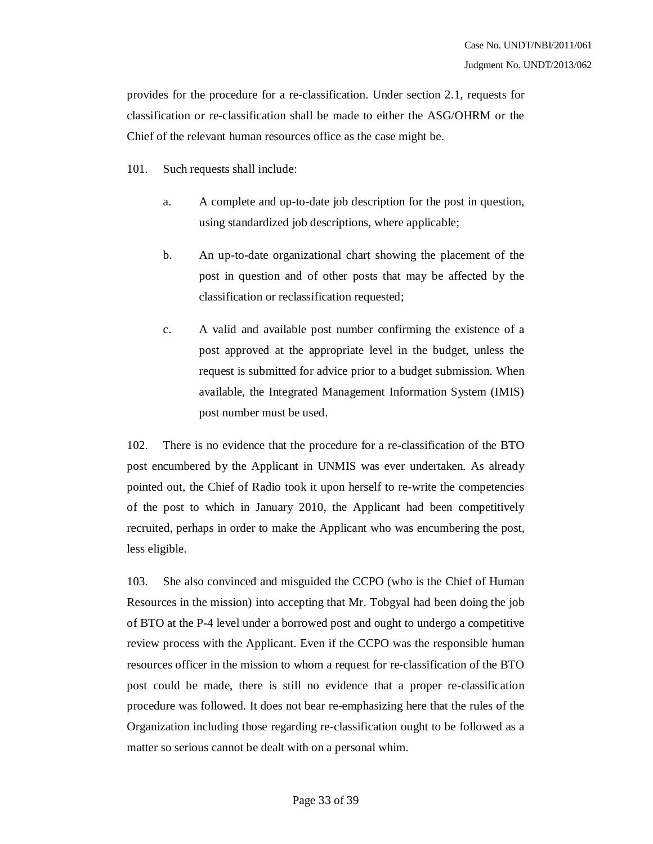provides for the procedure for a re-classification. Under section 2.1, requests for classification or re-classification shall be made to either the ASG/OHRM or the Chief of the relevant human resources office as the case might be.

101. Such requests shall include:

- a. A complete and up-to-date job description for the post in question, using standardized job descriptions, where applicable;
- b. An up-to-date organizational chart showing the placement of the post in question and of other posts that may be affected by the classification or reclassification requested;
- c. A valid and available post number confirming the existence of a post approved at the appropriate level in the budget, unless the request is submitted for advice prior to a budget submission. When available, the Integrated Management Information System (IMIS) post number must be used.

102. There is no evidence that the procedure for a re-classification of the BTO post encumbered by the Applicant in UNMIS was ever undertaken. As already pointed out, the Chief of Radio took it upon herself to re-write the competencies of the post to which in January 2010, the Applicant had been competitively recruited, perhaps in order to make the Applicant who was encumbering the post, less eligible.

103. She also convinced and misguided the CCPO (who is the Chief of Human Resources in the mission) into accepting that Mr. Tobgyal had been doing the job of BTO at the P-4 level under a borrowed post and ought to undergo a competitive review process with the Applicant. Even if the CCPO was the responsible human resources officer in the mission to whom a request for re-classification of the BTO post could be made, there is still no evidence that a proper re-classification procedure was followed. It does not bear re-emphasizing here that the rules of the Organization including those regarding re-classification ought to be followed as a matter so serious cannot be dealt with on a personal whim.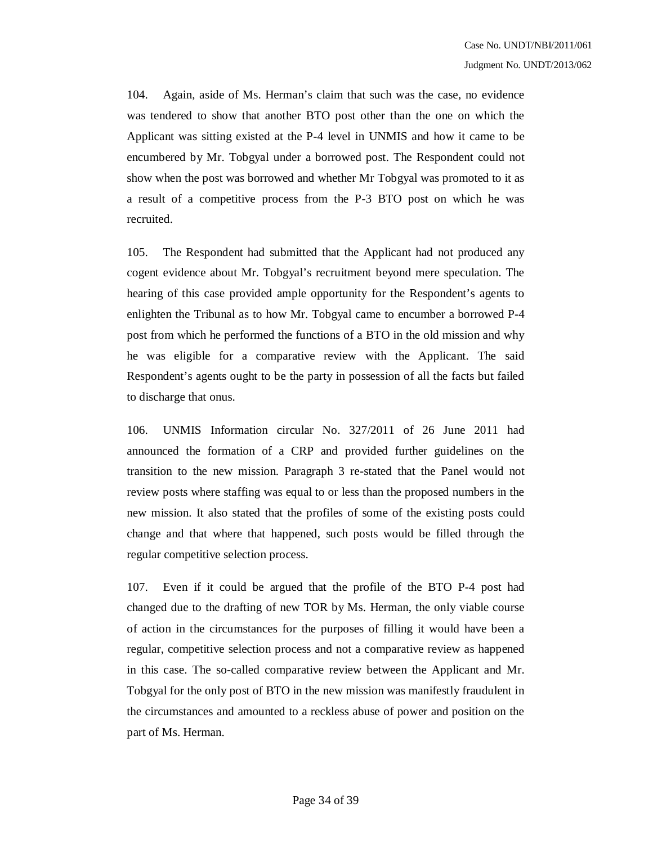104. Again, aside of Ms. Herman's claim that such was the case, no evidence was tendered to show that another BTO post other than the one on which the Applicant was sitting existed at the P-4 level in UNMIS and how it came to be encumbered by Mr. Tobgyal under a borrowed post. The Respondent could not show when the post was borrowed and whether Mr Tobgyal was promoted to it as a result of a competitive process from the P-3 BTO post on which he was recruited.

105. The Respondent had submitted that the Applicant had not produced any cogent evidence about Mr. Tobgyal's recruitment beyond mere speculation. The hearing of this case provided ample opportunity for the Respondent's agents to enlighten the Tribunal as to how Mr. Tobgyal came to encumber a borrowed P-4 post from which he performed the functions of a BTO in the old mission and why he was eligible for a comparative review with the Applicant. The said Respondent's agents ought to be the party in possession of all the facts but failed to discharge that onus.

106. UNMIS Information circular No. 327/2011 of 26 June 2011 had announced the formation of a CRP and provided further guidelines on the transition to the new mission. Paragraph 3 re-stated that the Panel would not review posts where staffing was equal to or less than the proposed numbers in the new mission. It also stated that the profiles of some of the existing posts could change and that where that happened, such posts would be filled through the regular competitive selection process.

107. Even if it could be argued that the profile of the BTO P-4 post had changed due to the drafting of new TOR by Ms. Herman, the only viable course of action in the circumstances for the purposes of filling it would have been a regular, competitive selection process and not a comparative review as happened in this case. The so-called comparative review between the Applicant and Mr. Tobgyal for the only post of BTO in the new mission was manifestly fraudulent in the circumstances and amounted to a reckless abuse of power and position on the part of Ms. Herman.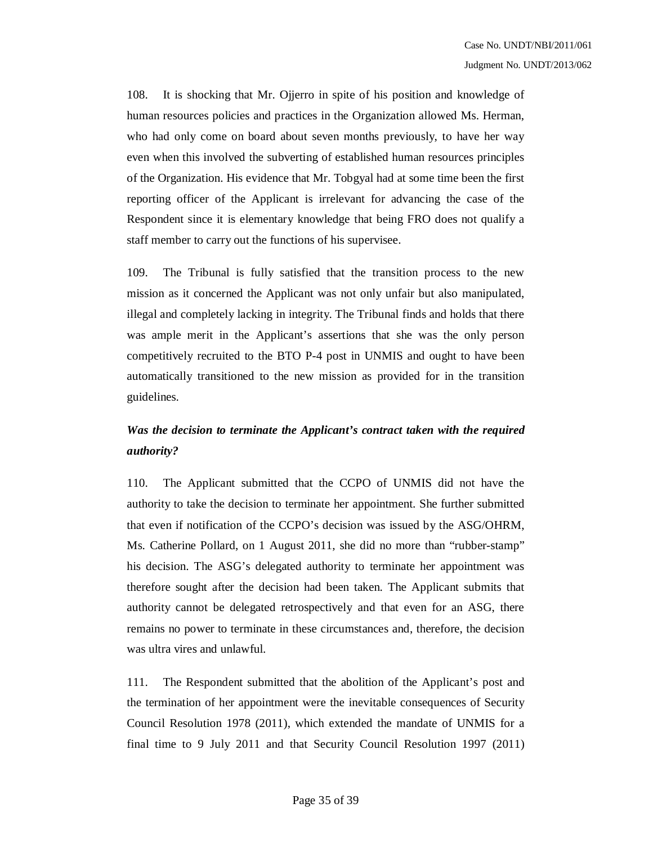108. It is shocking that Mr. Ojjerro in spite of his position and knowledge of human resources policies and practices in the Organization allowed Ms. Herman, who had only come on board about seven months previously, to have her way even when this involved the subverting of established human resources principles of the Organization. His evidence that Mr. Tobgyal had at some time been the first reporting officer of the Applicant is irrelevant for advancing the case of the Respondent since it is elementary knowledge that being FRO does not qualify a staff member to carry out the functions of his supervisee.

109. The Tribunal is fully satisfied that the transition process to the new mission as it concerned the Applicant was not only unfair but also manipulated, illegal and completely lacking in integrity. The Tribunal finds and holds that there was ample merit in the Applicant's assertions that she was the only person competitively recruited to the BTO P-4 post in UNMIS and ought to have been automatically transitioned to the new mission as provided for in the transition guidelines.

## *Was the decision to terminate the Applicant's contract taken with the required authority?*

110. The Applicant submitted that the CCPO of UNMIS did not have the authority to take the decision to terminate her appointment. She further submitted that even if notification of the CCPO's decision was issued by the ASG/OHRM, Ms. Catherine Pollard, on 1 August 2011, she did no more than "rubber-stamp" his decision. The ASG's delegated authority to terminate her appointment was therefore sought after the decision had been taken. The Applicant submits that authority cannot be delegated retrospectively and that even for an ASG, there remains no power to terminate in these circumstances and, therefore, the decision was ultra vires and unlawful.

111. The Respondent submitted that the abolition of the Applicant's post and the termination of her appointment were the inevitable consequences of Security Council Resolution 1978 (2011), which extended the mandate of UNMIS for a final time to 9 July 2011 and that Security Council Resolution 1997 (2011)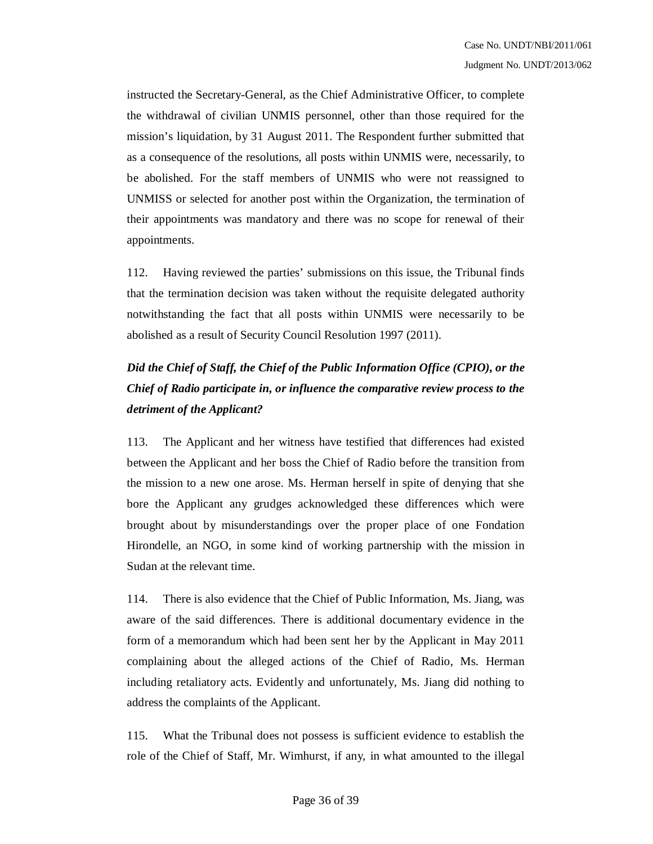instructed the Secretary-General, as the Chief Administrative Officer, to complete the withdrawal of civilian UNMIS personnel, other than those required for the mission's liquidation, by 31 August 2011. The Respondent further submitted that as a consequence of the resolutions, all posts within UNMIS were, necessarily, to be abolished. For the staff members of UNMIS who were not reassigned to UNMISS or selected for another post within the Organization, the termination of their appointments was mandatory and there was no scope for renewal of their appointments.

112. Having reviewed the parties' submissions on this issue, the Tribunal finds that the termination decision was taken without the requisite delegated authority notwithstanding the fact that all posts within UNMIS were necessarily to be abolished as a result of Security Council Resolution 1997 (2011).

# *Did the Chief of Staff, the Chief of the Public Information Office (CPIO), or the Chief of Radio participate in, or influence the comparative review process to the detriment of the Applicant?*

113. The Applicant and her witness have testified that differences had existed between the Applicant and her boss the Chief of Radio before the transition from the mission to a new one arose. Ms. Herman herself in spite of denying that she bore the Applicant any grudges acknowledged these differences which were brought about by misunderstandings over the proper place of one Fondation Hirondelle, an NGO, in some kind of working partnership with the mission in Sudan at the relevant time.

114. There is also evidence that the Chief of Public Information, Ms. Jiang, was aware of the said differences. There is additional documentary evidence in the form of a memorandum which had been sent her by the Applicant in May 2011 complaining about the alleged actions of the Chief of Radio, Ms. Herman including retaliatory acts. Evidently and unfortunately, Ms. Jiang did nothing to address the complaints of the Applicant.

115. What the Tribunal does not possess is sufficient evidence to establish the role of the Chief of Staff, Mr. Wimhurst, if any, in what amounted to the illegal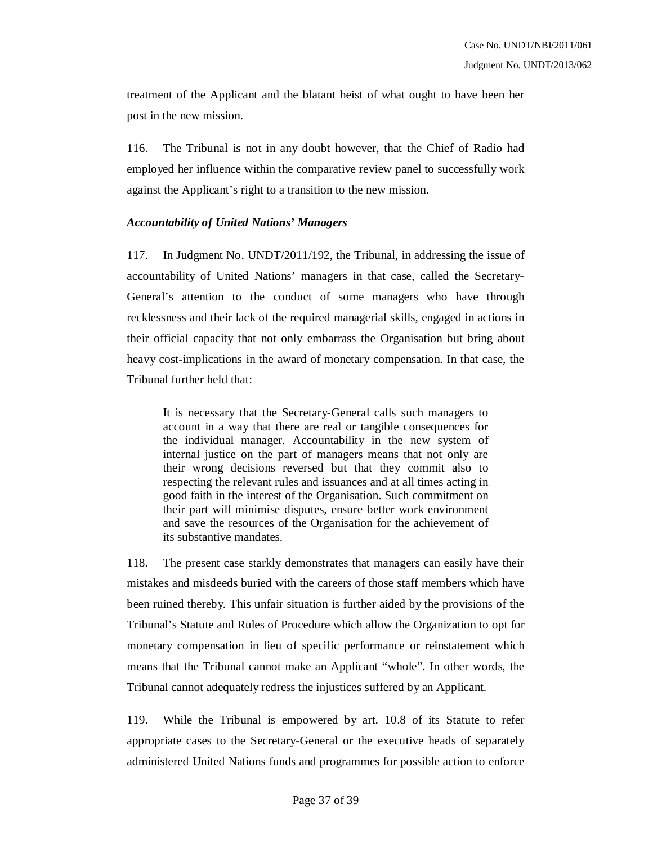treatment of the Applicant and the blatant heist of what ought to have been her post in the new mission.

116. The Tribunal is not in any doubt however, that the Chief of Radio had employed her influence within the comparative review panel to successfully work against the Applicant's right to a transition to the new mission.

## *Accountability of United Nations' Managers*

117. In Judgment No. UNDT/2011/192, the Tribunal, in addressing the issue of accountability of United Nations' managers in that case, called the Secretary-General's attention to the conduct of some managers who have through recklessness and their lack of the required managerial skills, engaged in actions in their official capacity that not only embarrass the Organisation but bring about heavy cost-implications in the award of monetary compensation. In that case, the Tribunal further held that:

It is necessary that the Secretary-General calls such managers to account in a way that there are real or tangible consequences for the individual manager. Accountability in the new system of internal justice on the part of managers means that not only are their wrong decisions reversed but that they commit also to respecting the relevant rules and issuances and at all times acting in good faith in the interest of the Organisation. Such commitment on their part will minimise disputes, ensure better work environment and save the resources of the Organisation for the achievement of its substantive mandates.

118. The present case starkly demonstrates that managers can easily have their mistakes and misdeeds buried with the careers of those staff members which have been ruined thereby. This unfair situation is further aided by the provisions of the Tribunal's Statute and Rules of Procedure which allow the Organization to opt for monetary compensation in lieu of specific performance or reinstatement which means that the Tribunal cannot make an Applicant "whole". In other words, the Tribunal cannot adequately redress the injustices suffered by an Applicant.

119. While the Tribunal is empowered by art. 10.8 of its Statute to refer appropriate cases to the Secretary-General or the executive heads of separately administered United Nations funds and programmes for possible action to enforce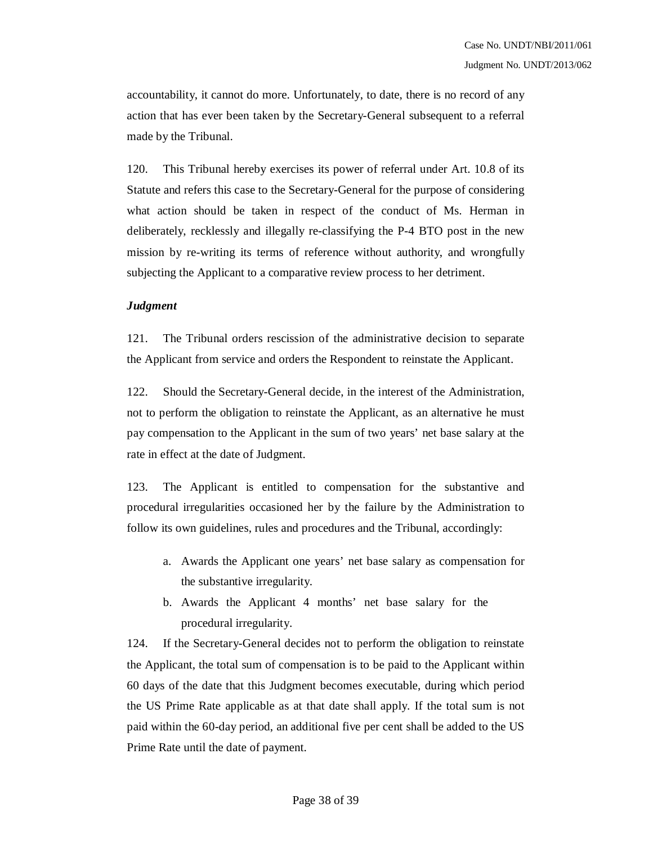accountability, it cannot do more. Unfortunately, to date, there is no record of any action that has ever been taken by the Secretary-General subsequent to a referral made by the Tribunal.

120. This Tribunal hereby exercises its power of referral under Art. 10.8 of its Statute and refers this case to the Secretary-General for the purpose of considering what action should be taken in respect of the conduct of Ms. Herman in deliberately, recklessly and illegally re-classifying the P-4 BTO post in the new mission by re-writing its terms of reference without authority, and wrongfully subjecting the Applicant to a comparative review process to her detriment.

#### *Judgment*

121. The Tribunal orders rescission of the administrative decision to separate the Applicant from service and orders the Respondent to reinstate the Applicant.

122. Should the Secretary-General decide, in the interest of the Administration, not to perform the obligation to reinstate the Applicant, as an alternative he must pay compensation to the Applicant in the sum of two years' net base salary at the rate in effect at the date of Judgment.

123. The Applicant is entitled to compensation for the substantive and procedural irregularities occasioned her by the failure by the Administration to follow its own guidelines, rules and procedures and the Tribunal, accordingly:

- a. Awards the Applicant one years' net base salary as compensation for the substantive irregularity.
- b. Awards the Applicant 4 months' net base salary for the procedural irregularity.

124. If the Secretary-General decides not to perform the obligation to reinstate the Applicant, the total sum of compensation is to be paid to the Applicant within 60 days of the date that this Judgment becomes executable, during which period the US Prime Rate applicable as at that date shall apply. If the total sum is not paid within the 60-day period, an additional five per cent shall be added to the US Prime Rate until the date of payment.